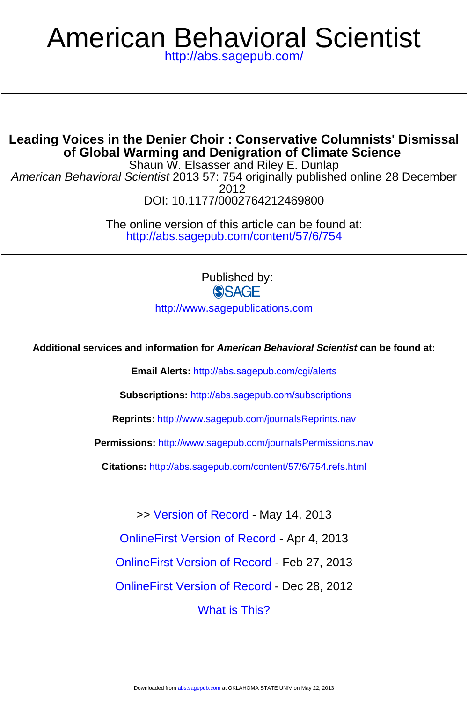# American Behavioral Scientist

<http://abs.sagepub.com/>

# **of Global Warming and Denigration of Climate Science Leading Voices in the Denier Choir : Conservative Columnists' Dismissal**

DOI: 10.1177/0002764212469800 2012 American Behavioral Scientist 2013 57: 754 originally published online 28 December Shaun W. Elsasser and Riley E. Dunlap

> <http://abs.sagepub.com/content/57/6/754> The online version of this article can be found at:

> > Published by: **SSAGE**

<http://www.sagepublications.com>

**Additional services and information for American Behavioral Scientist can be found at:**

**Email Alerts:** <http://abs.sagepub.com/cgi/alerts>

**Subscriptions:** <http://abs.sagepub.com/subscriptions>

**Reprints:** <http://www.sagepub.com/journalsReprints.nav>

**Permissions:** <http://www.sagepub.com/journalsPermissions.nav>

**Citations:** <http://abs.sagepub.com/content/57/6/754.refs.html>

>> [Version of Record -](http://abs.sagepub.com/content/57/6/754.full.pdf) May 14, 2013

[OnlineFirst Version of Record -](http://abs.sagepub.com/content/early/2013/04/04/0002764212469800.full.pdf) Apr 4, 2013

[OnlineFirst Version of Record -](http://abs.sagepub.com/content/early/2013/02/27/0002764212469800.full.pdf) Feb 27, 2013

[OnlineFirst Version of Record -](http://abs.sagepub.com/content/early/2012/12/25/0002764212469800.full.pdf) Dec 28, 2012

[What is This?](http://online.sagepub.com/site/sphelp/vorhelp.xhtml)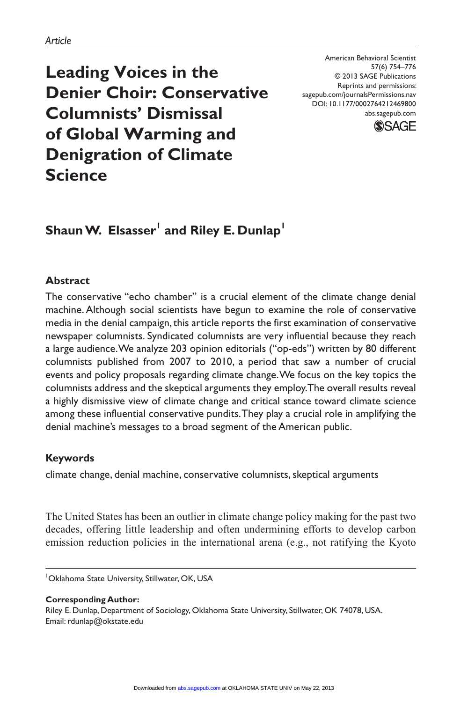**Leading Voices in the Denier Choir: Conservative Columnists' Dismissal of Global Warming and Denigration of Climate Science**

American Behavioral Scientist 57(6) 754–776 © 2013 SAGE Publications Reprints and permissions: sagepub.com/journalsPermissions.nav DOI: 10.1177/0002764212469800 abs.sagepub.com



# $\boldsymbol{\mathsf{Shaun}}$   $\boldsymbol{\mathsf{W.}}$  Elsasser $^{\mathsf{I}}$  and Riley E. Dunlap $^{\mathsf{I}}$

## **Abstract**

The conservative "echo chamber" is a crucial element of the climate change denial machine. Although social scientists have begun to examine the role of conservative media in the denial campaign, this article reports the first examination of conservative newspaper columnists. Syndicated columnists are very influential because they reach a large audience. We analyze 203 opinion editorials ("op-eds") written by 80 different columnists published from 2007 to 2010, a period that saw a number of crucial events and policy proposals regarding climate change. We focus on the key topics the columnists address and the skeptical arguments they employ. The overall results reveal a highly dismissive view of climate change and critical stance toward climate science among these influential conservative pundits. They play a crucial role in amplifying the denial machine's messages to a broad segment of the American public.

## **Keywords**

climate change, denial machine, conservative columnists, skeptical arguments

The United States has been an outlier in climate change policy making for the past two decades, offering little leadership and often undermining efforts to develop carbon emission reduction policies in the international arena (e.g., not ratifying the Kyoto

**Corresponding Author:** Riley E. Dunlap, Department of Sociology, Oklahoma State University, Stillwater, OK 74078, USA. Email: rdunlap@okstate.edu

<sup>1</sup> Oklahoma State University, Stillwater, OK, USA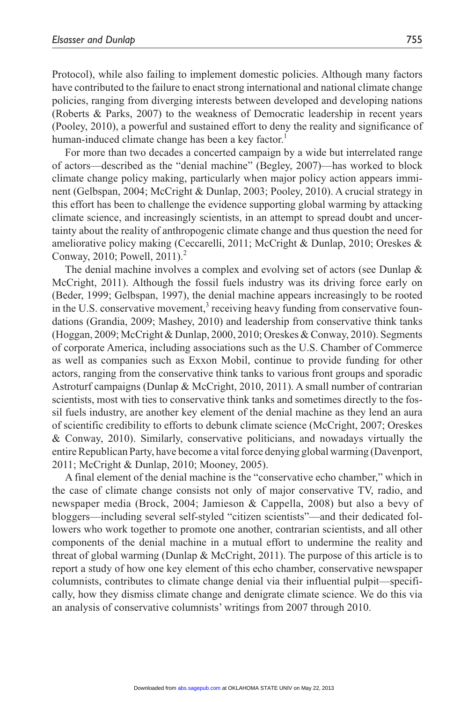Protocol), while also failing to implement domestic policies. Although many factors have contributed to the failure to enact strong international and national climate change policies, ranging from diverging interests between developed and developing nations (Roberts & Parks, 2007) to the weakness of Democratic leadership in recent years (Pooley, 2010), a powerful and sustained effort to deny the reality and significance of human-induced climate change has been a key factor.<sup>1</sup>

For more than two decades a concerted campaign by a wide but interrelated range of actors—described as the "denial machine" (Begley, 2007)—has worked to block climate change policy making, particularly when major policy action appears imminent (Gelbspan, 2004; McCright & Dunlap, 2003; Pooley, 2010). A crucial strategy in this effort has been to challenge the evidence supporting global warming by attacking climate science, and increasingly scientists, in an attempt to spread doubt and uncertainty about the reality of anthropogenic climate change and thus question the need for ameliorative policy making (Ceccarelli, 2011; McCright & Dunlap, 2010; Oreskes & Conway, 2010; Powell, 2011).<sup>2</sup>

The denial machine involves a complex and evolving set of actors (see Dunlap & McCright, 2011). Although the fossil fuels industry was its driving force early on (Beder, 1999; Gelbspan, 1997), the denial machine appears increasingly to be rooted in the U.S. conservative movement,<sup>3</sup> receiving heavy funding from conservative foundations (Grandia, 2009; Mashey, 2010) and leadership from conservative think tanks (Hoggan, 2009; McCright & Dunlap, 2000, 2010; Oreskes & Conway, 2010). Segments of corporate America, including associations such as the U.S. Chamber of Commerce as well as companies such as Exxon Mobil, continue to provide funding for other actors, ranging from the conservative think tanks to various front groups and sporadic Astroturf campaigns (Dunlap & McCright, 2010, 2011). A small number of contrarian scientists, most with ties to conservative think tanks and sometimes directly to the fossil fuels industry, are another key element of the denial machine as they lend an aura of scientific credibility to efforts to debunk climate science (McCright, 2007; Oreskes & Conway, 2010). Similarly, conservative politicians, and nowadays virtually the entire Republican Party, have become a vital force denying global warming (Davenport, 2011; McCright & Dunlap, 2010; Mooney, 2005).

A final element of the denial machine is the "conservative echo chamber," which in the case of climate change consists not only of major conservative TV, radio, and newspaper media (Brock, 2004; Jamieson & Cappella, 2008) but also a bevy of bloggers—including several self-styled "citizen scientists"—and their dedicated followers who work together to promote one another, contrarian scientists, and all other components of the denial machine in a mutual effort to undermine the reality and threat of global warming (Dunlap & McCright, 2011). The purpose of this article is to report a study of how one key element of this echo chamber, conservative newspaper columnists, contributes to climate change denial via their influential pulpit—specifically, how they dismiss climate change and denigrate climate science. We do this via an analysis of conservative columnists' writings from 2007 through 2010.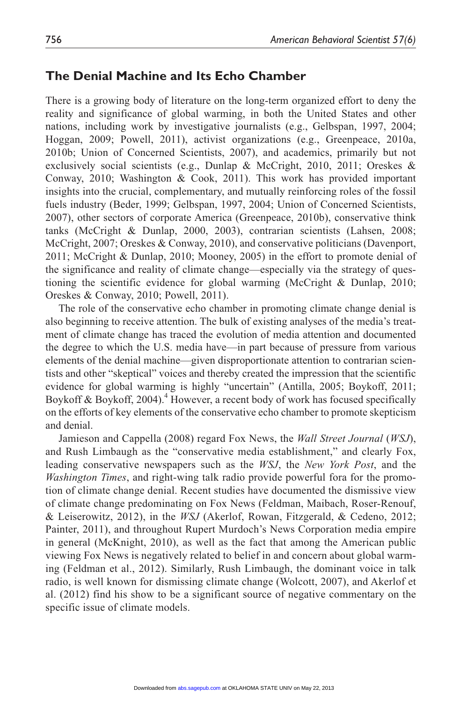## **The Denial Machine and Its Echo Chamber**

There is a growing body of literature on the long-term organized effort to deny the reality and significance of global warming, in both the United States and other nations, including work by investigative journalists (e.g., Gelbspan, 1997, 2004; Hoggan, 2009; Powell, 2011), activist organizations (e.g., Greenpeace, 2010a, 2010b; Union of Concerned Scientists, 2007), and academics, primarily but not exclusively social scientists (e.g., Dunlap & McCright, 2010, 2011; Oreskes & Conway, 2010; Washington & Cook, 2011). This work has provided important insights into the crucial, complementary, and mutually reinforcing roles of the fossil fuels industry (Beder, 1999; Gelbspan, 1997, 2004; Union of Concerned Scientists, 2007), other sectors of corporate America (Greenpeace, 2010b), conservative think tanks (McCright & Dunlap, 2000, 2003), contrarian scientists (Lahsen, 2008; McCright, 2007; Oreskes & Conway, 2010), and conservative politicians (Davenport, 2011; McCright & Dunlap, 2010; Mooney, 2005) in the effort to promote denial of the significance and reality of climate change—especially via the strategy of questioning the scientific evidence for global warming (McCright & Dunlap, 2010; Oreskes & Conway, 2010; Powell, 2011).

The role of the conservative echo chamber in promoting climate change denial is also beginning to receive attention. The bulk of existing analyses of the media's treatment of climate change has traced the evolution of media attention and documented the degree to which the U.S. media have—in part because of pressure from various elements of the denial machine—given disproportionate attention to contrarian scientists and other "skeptical" voices and thereby created the impression that the scientific evidence for global warming is highly "uncertain" (Antilla, 2005; Boykoff, 2011; Boykoff & Boykoff, 2004).<sup>4</sup> However, a recent body of work has focused specifically on the efforts of key elements of the conservative echo chamber to promote skepticism and denial.

Jamieson and Cappella (2008) regard Fox News, the *Wall Street Journal* (*WSJ*), and Rush Limbaugh as the "conservative media establishment," and clearly Fox, leading conservative newspapers such as the *WSJ*, the *New York Post*, and the *Washington Times*, and right-wing talk radio provide powerful fora for the promotion of climate change denial. Recent studies have documented the dismissive view of climate change predominating on Fox News (Feldman, Maibach, Roser-Renouf, & Leiserowitz, 2012), in the *WSJ* (Akerlof, Rowan, Fitzgerald, & Cedeno, 2012; Painter, 2011), and throughout Rupert Murdoch's News Corporation media empire in general (McKnight, 2010), as well as the fact that among the American public viewing Fox News is negatively related to belief in and concern about global warming (Feldman et al., 2012). Similarly, Rush Limbaugh, the dominant voice in talk radio, is well known for dismissing climate change (Wolcott, 2007), and Akerlof et al. (2012) find his show to be a significant source of negative commentary on the specific issue of climate models.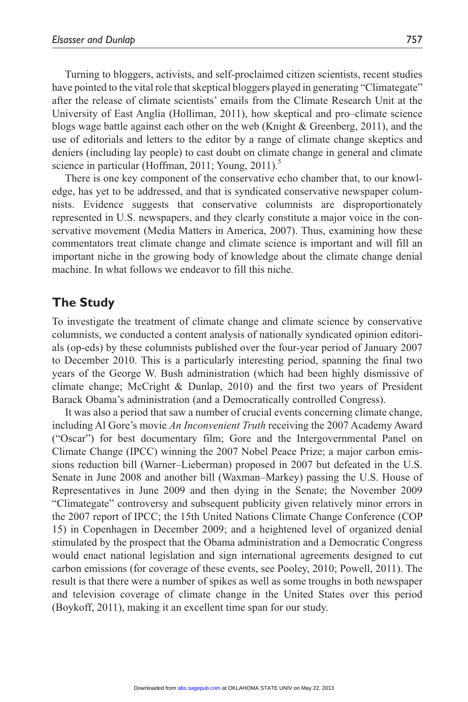Turning to bloggers, activists, and self-proclaimed citizen scientists, recent studies have pointed to the vital role that skeptical bloggers played in generating "Climategate" after the release of climate scientists' emails from the Climate Research Unit at the University of East Anglia (Holliman, 2011), how skeptical and pro–climate science blogs wage battle against each other on the web (Knight & Greenberg, 2011), and the use of editorials and letters to the editor by a range of climate change skeptics and deniers (including lay people) to cast doubt on climate change in general and climate science in particular (Hoffman, 2011; Young, 2011). $\delta$ 

There is one key component of the conservative echo chamber that, to our knowledge, has yet to be addressed, and that is syndicated conservative newspaper columnists. Evidence suggests that conservative columnists are disproportionately represented in U.S. newspapers, and they clearly constitute a major voice in the conservative movement (Media Matters in America, 2007). Thus, examining how these commentators treat climate change and climate science is important and will fill an important niche in the growing body of knowledge about the climate change denial machine. In what follows we endeavor to fill this niche.

## **The Study**

To investigate the treatment of climate change and climate science by conservative columnists, we conducted a content analysis of nationally syndicated opinion editorials (op-eds) by these columnists published over the four-year period of January 2007 to December 2010. This is a particularly interesting period, spanning the final two years of the George W. Bush administration (which had been highly dismissive of climate change; McCright & Dunlap, 2010) and the first two years of President Barack Obama's administration (and a Democratically controlled Congress).

It was also a period that saw a number of crucial events concerning climate change, including Al Gore's movie *An Inconvenient Truth* receiving the 2007 Academy Award ("Oscar") for best documentary film; Gore and the Intergovernmental Panel on Climate Change (IPCC) winning the 2007 Nobel Peace Prize; a major carbon emissions reduction bill (Warner–Lieberman) proposed in 2007 but defeated in the U.S. Senate in June 2008 and another bill (Waxman–Markey) passing the U.S. House of Representatives in June 2009 and then dying in the Senate; the November 2009 "Climategate" controversy and subsequent publicity given relatively minor errors in the 2007 report of IPCC; the 15th United Nations Climate Change Conference (COP 15) in Copenhagen in December 2009; and a heightened level of organized denial stimulated by the prospect that the Obama administration and a Democratic Congress would enact national legislation and sign international agreements designed to cut carbon emissions (for coverage of these events, see Pooley, 2010; Powell, 2011). The result is that there were a number of spikes as well as some troughs in both newspaper and television coverage of climate change in the United States over this period (Boykoff, 2011), making it an excellent time span for our study.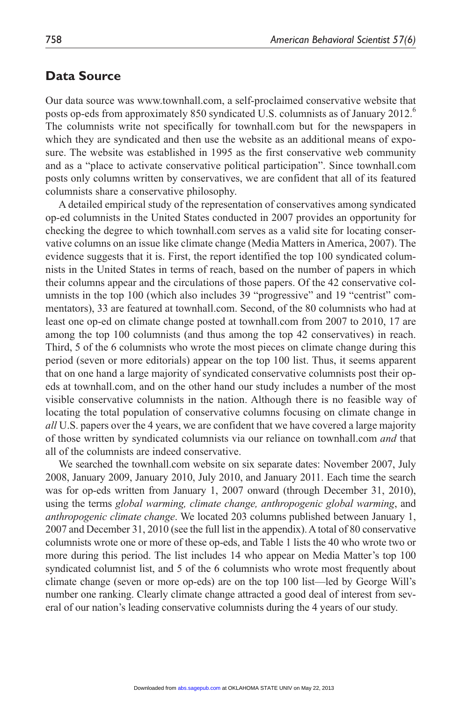#### **Data Source**

Our data source was www.townhall.com, a self-proclaimed conservative website that posts op-eds from approximately 850 syndicated U.S. columnists as of January 2012.<sup>6</sup> The columnists write not specifically for townhall.com but for the newspapers in which they are syndicated and then use the website as an additional means of exposure. The website was established in 1995 as the first conservative web community and as a "place to activate conservative political participation". Since townhall.com posts only columns written by conservatives, we are confident that all of its featured columnists share a conservative philosophy.

A detailed empirical study of the representation of conservatives among syndicated op-ed columnists in the United States conducted in 2007 provides an opportunity for checking the degree to which townhall.com serves as a valid site for locating conservative columns on an issue like climate change (Media Matters in America, 2007). The evidence suggests that it is. First, the report identified the top 100 syndicated columnists in the United States in terms of reach, based on the number of papers in which their columns appear and the circulations of those papers. Of the 42 conservative columnists in the top 100 (which also includes 39 "progressive" and 19 "centrist" commentators), 33 are featured at townhall.com. Second, of the 80 columnists who had at least one op-ed on climate change posted at townhall.com from 2007 to 2010, 17 are among the top 100 columnists (and thus among the top 42 conservatives) in reach. Third, 5 of the 6 columnists who wrote the most pieces on climate change during this period (seven or more editorials) appear on the top 100 list. Thus, it seems apparent that on one hand a large majority of syndicated conservative columnists post their opeds at townhall.com, and on the other hand our study includes a number of the most visible conservative columnists in the nation. Although there is no feasible way of locating the total population of conservative columns focusing on climate change in *all* U.S. papers over the 4 years, we are confident that we have covered a large majority of those written by syndicated columnists via our reliance on townhall.com *and* that all of the columnists are indeed conservative.

We searched the townhall.com website on six separate dates: November 2007, July 2008, January 2009, January 2010, July 2010, and January 2011. Each time the search was for op-eds written from January 1, 2007 onward (through December 31, 2010), using the terms *global warming, climate change, anthropogenic global warming*, and *anthropogenic climate change*. We located 203 columns published between January 1, 2007 and December 31, 2010 (see the full list in the appendix). A total of 80 conservative columnists wrote one or more of these op-eds, and Table 1 lists the 40 who wrote two or more during this period. The list includes 14 who appear on Media Matter's top 100 syndicated columnist list, and 5 of the 6 columnists who wrote most frequently about climate change (seven or more op-eds) are on the top 100 list—led by George Will's number one ranking. Clearly climate change attracted a good deal of interest from several of our nation's leading conservative columnists during the 4 years of our study.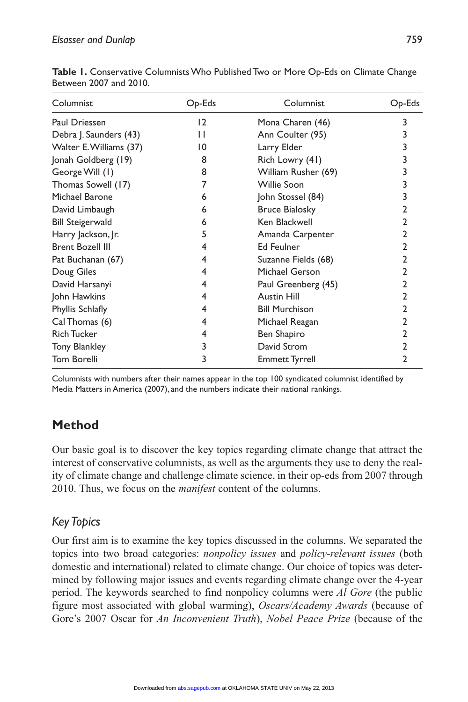| Columnist               | $Op-Eds$ | Columnist             | $Op$ -Eds |
|-------------------------|----------|-----------------------|-----------|
| Paul Driessen           | 12       | Mona Charen (46)      | 3         |
| Debra J. Saunders (43)  | Н        | Ann Coulter (95)      |           |
| Walter E.Williams (37)  | 10       | Larry Elder           | 3         |
| Jonah Goldberg (19)     | 8        | Rich Lowry (41)       | 3         |
| George Will (1)         | 8        | William Rusher (69)   |           |
| Thomas Sowell (17)      | 7        | Willie Soon           | 3         |
| Michael Barone          | 6        | John Stossel (84)     | 3         |
| David Limbaugh          | 6        | <b>Bruce Bialosky</b> | 2         |
| <b>Bill Steigerwald</b> | 6        | Ken Blackwell         | 2         |
| Harry Jackson, Jr.      | 5        | Amanda Carpenter      | 2         |
| <b>Brent Bozell III</b> | 4        | <b>Ed Feulner</b>     | 2         |
| Pat Buchanan (67)       | 4        | Suzanne Fields (68)   | 2         |
| Doug Giles              | 4        | Michael Gerson        | 2         |
| David Harsanyi          | 4        | Paul Greenberg (45)   | 2         |
| John Hawkins            | 4        | <b>Austin Hill</b>    | 2         |
| Phyllis Schlafly        | 4        | <b>Bill Murchison</b> | 2         |
| Cal Thomas (6)          | 4        | Michael Reagan        | 2         |
| <b>Rich Tucker</b>      | 4        | Ben Shapiro           | 2         |
| <b>Tony Blankley</b>    | 3        | David Strom           | 2         |
| Tom Borelli             | 3        | Emmett Tyrrell        | 2         |

**Table 1.** Conservative Columnists Who Published Two or More Op-Eds on Climate Change Between 2007 and 2010.

Columnists with numbers after their names appear in the top 100 syndicated columnist identified by Media Matters in America (2007), and the numbers indicate their national rankings.

# **Method**

Our basic goal is to discover the key topics regarding climate change that attract the interest of conservative columnists, as well as the arguments they use to deny the reality of climate change and challenge climate science, in their op-eds from 2007 through 2010. Thus, we focus on the *manifest* content of the columns.

# *Key Topics*

Our first aim is to examine the key topics discussed in the columns. We separated the topics into two broad categories: *nonpolicy issues* and *policy-relevant issues* (both domestic and international) related to climate change. Our choice of topics was determined by following major issues and events regarding climate change over the 4-year period. The keywords searched to find nonpolicy columns were *Al Gore* (the public figure most associated with global warming), *Oscars/Academy Awards* (because of Gore's 2007 Oscar for *An Inconvenient Truth*), *Nobel Peace Prize* (because of the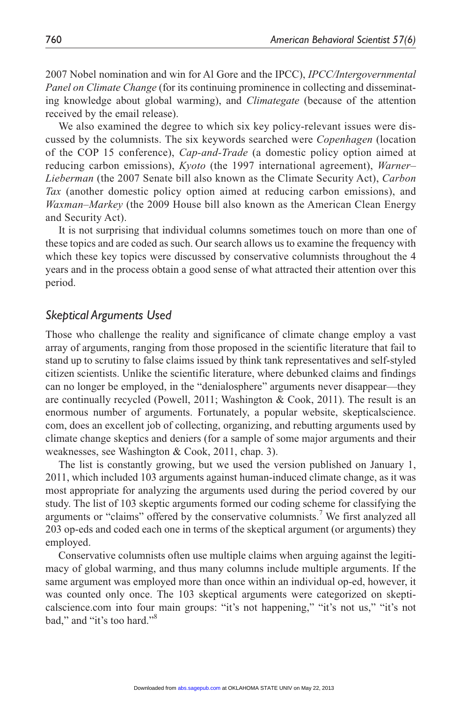2007 Nobel nomination and win for Al Gore and the IPCC), *IPCC/Intergovernmental Panel on Climate Change* (for its continuing prominence in collecting and disseminating knowledge about global warming), and *Climategate* (because of the attention received by the email release).

We also examined the degree to which six key policy-relevant issues were discussed by the columnists. The six keywords searched were *Copenhagen* (location of the COP 15 conference), *Cap-and-Trade* (a domestic policy option aimed at reducing carbon emissions), *Kyoto* (the 1997 international agreement), *Warner– Lieberman* (the 2007 Senate bill also known as the Climate Security Act), *Carbon Tax* (another domestic policy option aimed at reducing carbon emissions), and *Waxman–Markey* (the 2009 House bill also known as the American Clean Energy and Security Act).

It is not surprising that individual columns sometimes touch on more than one of these topics and are coded as such. Our search allows us to examine the frequency with which these key topics were discussed by conservative columnists throughout the 4 years and in the process obtain a good sense of what attracted their attention over this period.

## *Skeptical Arguments Used*

Those who challenge the reality and significance of climate change employ a vast array of arguments, ranging from those proposed in the scientific literature that fail to stand up to scrutiny to false claims issued by think tank representatives and self-styled citizen scientists. Unlike the scientific literature, where debunked claims and findings can no longer be employed, in the "denialosphere" arguments never disappear—they are continually recycled (Powell, 2011; Washington & Cook, 2011). The result is an enormous number of arguments. Fortunately, a popular website, skepticalscience. com, does an excellent job of collecting, organizing, and rebutting arguments used by climate change skeptics and deniers (for a sample of some major arguments and their weaknesses, see Washington & Cook, 2011, chap. 3).

The list is constantly growing, but we used the version published on January 1, 2011, which included 103 arguments against human-induced climate change, as it was most appropriate for analyzing the arguments used during the period covered by our study. The list of 103 skeptic arguments formed our coding scheme for classifying the arguments or "claims" offered by the conservative columnists.<sup>7</sup> We first analyzed all 203 op-eds and coded each one in terms of the skeptical argument (or arguments) they employed.

Conservative columnists often use multiple claims when arguing against the legitimacy of global warming, and thus many columns include multiple arguments. If the same argument was employed more than once within an individual op-ed, however, it was counted only once. The 103 skeptical arguments were categorized on skepticalscience.com into four main groups: "it's not happening," "it's not us," "it's not bad," and "it's too hard."8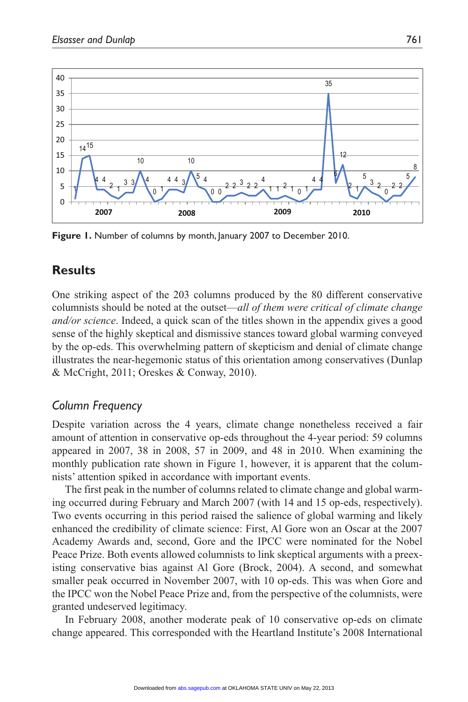

Figure 1. Number of columns by month, January 2007 to December 2010.

# **Results**

One striking aspect of the 203 columns produced by the 80 different conservative columnists should be noted at the outset—*all of them were critical of climate change and/or science*. Indeed, a quick scan of the titles shown in the appendix gives a good sense of the highly skeptical and dismissive stances toward global warming conveyed by the op-eds. This overwhelming pattern of skepticism and denial of climate change illustrates the near-hegemonic status of this orientation among conservatives (Dunlap & McCright, 2011; Oreskes & Conway, 2010).

## *Column Frequency*

Despite variation across the 4 years, climate change nonetheless received a fair amount of attention in conservative op-eds throughout the 4-year period: 59 columns appeared in 2007, 38 in 2008, 57 in 2009, and 48 in 2010. When examining the monthly publication rate shown in Figure 1, however, it is apparent that the columnists' attention spiked in accordance with important events.

The first peak in the number of columns related to climate change and global warming occurred during February and March 2007 (with 14 and 15 op-eds, respectively). Two events occurring in this period raised the salience of global warming and likely enhanced the credibility of climate science: First, Al Gore won an Oscar at the 2007 Academy Awards and, second, Gore and the IPCC were nominated for the Nobel Peace Prize. Both events allowed columnists to link skeptical arguments with a preexisting conservative bias against Al Gore (Brock, 2004). A second, and somewhat smaller peak occurred in November 2007, with 10 op-eds. This was when Gore and the IPCC won the Nobel Peace Prize and, from the perspective of the columnists, were granted undeserved legitimacy.

In February 2008, another moderate peak of 10 conservative op-eds on climate change appeared. This corresponded with the Heartland Institute's 2008 International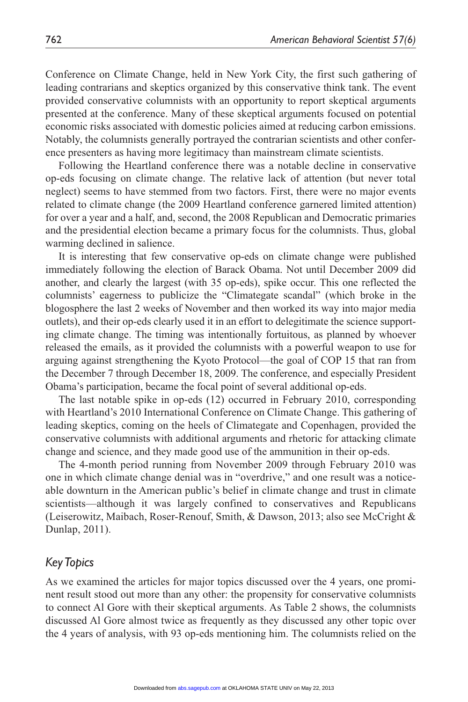Conference on Climate Change, held in New York City, the first such gathering of leading contrarians and skeptics organized by this conservative think tank. The event provided conservative columnists with an opportunity to report skeptical arguments presented at the conference. Many of these skeptical arguments focused on potential economic risks associated with domestic policies aimed at reducing carbon emissions. Notably, the columnists generally portrayed the contrarian scientists and other conference presenters as having more legitimacy than mainstream climate scientists.

Following the Heartland conference there was a notable decline in conservative op-eds focusing on climate change. The relative lack of attention (but never total neglect) seems to have stemmed from two factors. First, there were no major events related to climate change (the 2009 Heartland conference garnered limited attention) for over a year and a half, and, second, the 2008 Republican and Democratic primaries and the presidential election became a primary focus for the columnists. Thus, global warming declined in salience.

It is interesting that few conservative op-eds on climate change were published immediately following the election of Barack Obama. Not until December 2009 did another, and clearly the largest (with 35 op-eds), spike occur. This one reflected the columnists' eagerness to publicize the "Climategate scandal" (which broke in the blogosphere the last 2 weeks of November and then worked its way into major media outlets), and their op-eds clearly used it in an effort to delegitimate the science supporting climate change. The timing was intentionally fortuitous, as planned by whoever released the emails, as it provided the columnists with a powerful weapon to use for arguing against strengthening the Kyoto Protocol—the goal of COP 15 that ran from the December 7 through December 18, 2009. The conference, and especially President Obama's participation, became the focal point of several additional op-eds.

The last notable spike in op-eds (12) occurred in February 2010, corresponding with Heartland's 2010 International Conference on Climate Change. This gathering of leading skeptics, coming on the heels of Climategate and Copenhagen, provided the conservative columnists with additional arguments and rhetoric for attacking climate change and science, and they made good use of the ammunition in their op-eds.

The 4-month period running from November 2009 through February 2010 was one in which climate change denial was in "overdrive," and one result was a noticeable downturn in the American public's belief in climate change and trust in climate scientists—although it was largely confined to conservatives and Republicans (Leiserowitz, Maibach, Roser-Renouf, Smith, & Dawson, 2013; also see McCright & Dunlap, 2011).

## *Key Topics*

As we examined the articles for major topics discussed over the 4 years, one prominent result stood out more than any other: the propensity for conservative columnists to connect Al Gore with their skeptical arguments. As Table 2 shows, the columnists discussed Al Gore almost twice as frequently as they discussed any other topic over the 4 years of analysis, with 93 op-eds mentioning him. The columnists relied on the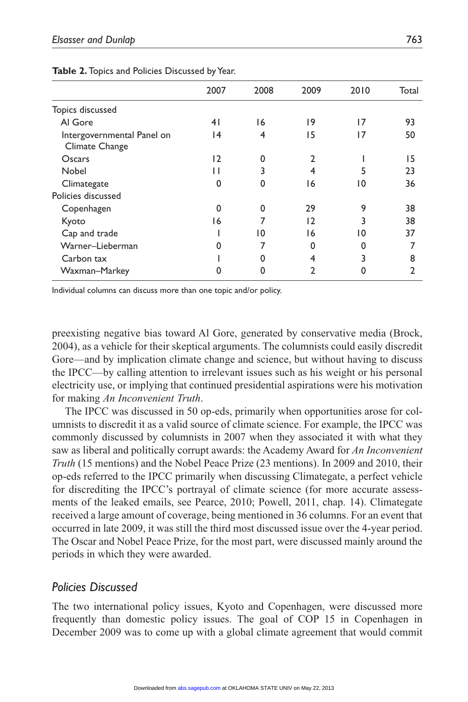|                                              | 2007 | 2008     | 2009           | 2010 | Total |
|----------------------------------------------|------|----------|----------------|------|-------|
| Topics discussed                             |      |          |                |      |       |
| Al Gore                                      | 41   | 16       | 19             | 17   | 93    |
| Intergovernmental Panel on<br>Climate Change | 14   | 4        | 15             | 17   | 50    |
| Oscars                                       | 12   | 0        | $\overline{2}$ |      | 15    |
| Nobel                                        |      | 3        | 4              | 5    | 23    |
| Climategate                                  | 0    | 0        | 16             | 10   | 36    |
| Policies discussed                           |      |          |                |      |       |
| Copenhagen                                   | ი    | $\Omega$ | 29             | 9    | 38    |
| Kyoto                                        | 16   | 7        | 12             | 3    | 38    |
| Cap and trade                                |      | 10       | 16             | 10   | 37    |
| Warner-Lieberman                             |      |          | 0              |      |       |
| Carbon tax                                   |      | 0        | 4              | 3    | 8     |
| Waxman-Markey                                |      | 0        | $\mathbf{2}$   |      | 2     |
|                                              |      |          |                |      |       |

**Table 2.** Topics and Policies Discussed by Year.

Individual columns can discuss more than one topic and/or policy.

preexisting negative bias toward Al Gore, generated by conservative media (Brock, 2004), as a vehicle for their skeptical arguments. The columnists could easily discredit Gore—and by implication climate change and science, but without having to discuss the IPCC—by calling attention to irrelevant issues such as his weight or his personal electricity use, or implying that continued presidential aspirations were his motivation for making *An Inconvenient Truth*.

The IPCC was discussed in 50 op-eds, primarily when opportunities arose for columnists to discredit it as a valid source of climate science. For example, the IPCC was commonly discussed by columnists in 2007 when they associated it with what they saw as liberal and politically corrupt awards: the Academy Award for *An Inconvenient Truth* (15 mentions) and the Nobel Peace Prize (23 mentions). In 2009 and 2010, their op-eds referred to the IPCC primarily when discussing Climategate, a perfect vehicle for discrediting the IPCC's portrayal of climate science (for more accurate assessments of the leaked emails, see Pearce, 2010; Powell, 2011, chap. 14). Climategate received a large amount of coverage, being mentioned in 36 columns. For an event that occurred in late 2009, it was still the third most discussed issue over the 4-year period. The Oscar and Nobel Peace Prize, for the most part, were discussed mainly around the periods in which they were awarded.

## *Policies Discussed*

The two international policy issues, Kyoto and Copenhagen, were discussed more frequently than domestic policy issues. The goal of COP 15 in Copenhagen in December 2009 was to come up with a global climate agreement that would commit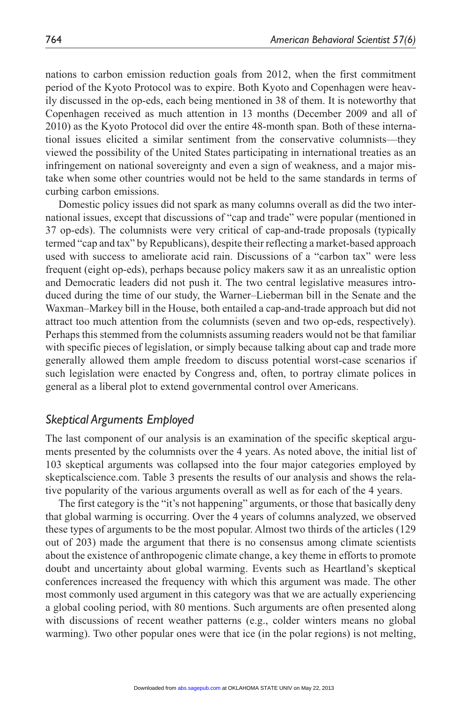nations to carbon emission reduction goals from 2012, when the first commitment period of the Kyoto Protocol was to expire. Both Kyoto and Copenhagen were heavily discussed in the op-eds, each being mentioned in 38 of them. It is noteworthy that Copenhagen received as much attention in 13 months (December 2009 and all of 2010) as the Kyoto Protocol did over the entire 48-month span. Both of these international issues elicited a similar sentiment from the conservative columnists—they viewed the possibility of the United States participating in international treaties as an infringement on national sovereignty and even a sign of weakness, and a major mistake when some other countries would not be held to the same standards in terms of curbing carbon emissions.

Domestic policy issues did not spark as many columns overall as did the two international issues, except that discussions of "cap and trade" were popular (mentioned in 37 op-eds). The columnists were very critical of cap-and-trade proposals (typically termed "cap and tax" by Republicans), despite their reflecting a market-based approach used with success to ameliorate acid rain. Discussions of a "carbon tax" were less frequent (eight op-eds), perhaps because policy makers saw it as an unrealistic option and Democratic leaders did not push it. The two central legislative measures introduced during the time of our study, the Warner–Lieberman bill in the Senate and the Waxman–Markey bill in the House, both entailed a cap-and-trade approach but did not attract too much attention from the columnists (seven and two op-eds, respectively). Perhaps this stemmed from the columnists assuming readers would not be that familiar with specific pieces of legislation, or simply because talking about cap and trade more generally allowed them ample freedom to discuss potential worst-case scenarios if such legislation were enacted by Congress and, often, to portray climate polices in general as a liberal plot to extend governmental control over Americans.

# *Skeptical Arguments Employed*

The last component of our analysis is an examination of the specific skeptical arguments presented by the columnists over the 4 years. As noted above, the initial list of 103 skeptical arguments was collapsed into the four major categories employed by skepticalscience.com. Table 3 presents the results of our analysis and shows the relative popularity of the various arguments overall as well as for each of the 4 years.

The first category is the "it's not happening" arguments, or those that basically deny that global warming is occurring. Over the 4 years of columns analyzed, we observed these types of arguments to be the most popular. Almost two thirds of the articles (129 out of 203) made the argument that there is no consensus among climate scientists about the existence of anthropogenic climate change, a key theme in efforts to promote doubt and uncertainty about global warming. Events such as Heartland's skeptical conferences increased the frequency with which this argument was made. The other most commonly used argument in this category was that we are actually experiencing a global cooling period, with 80 mentions. Such arguments are often presented along with discussions of recent weather patterns (e.g., colder winters means no global warming). Two other popular ones were that ice (in the polar regions) is not melting,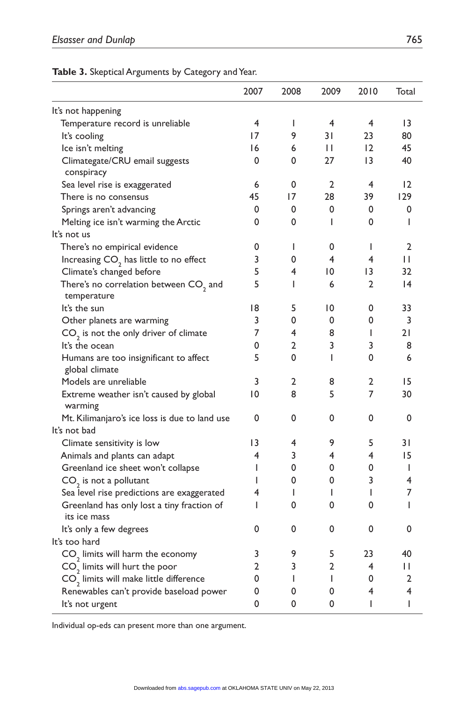#### **Table 3.** Skeptical Arguments by Category and Year.

|                                                            | 2007            | 2008         | 2009 | 2010            | Total          |
|------------------------------------------------------------|-----------------|--------------|------|-----------------|----------------|
| It's not happening                                         |                 |              |      |                 |                |
| Temperature record is unreliable                           | 4               | I            | 4    | 4               | 13             |
| It's cooling                                               | 17              | 9            | 31   | 23              | 80             |
| Ice isn't melting                                          | 16              | 6            | П    | 12              | 45             |
| Climategate/CRU email suggests<br>conspiracy               | 0               | 0            | 27   | $\overline{13}$ | 40             |
| Sea level rise is exaggerated                              | 6               | 0            | 2    | 4               | 12             |
| There is no consensus                                      | 45              | 17           | 28   | 39              | 129            |
| Springs aren't advancing                                   | 0               | 0            | 0    | 0               | 0              |
| Melting ice isn't warming the Arctic                       | 0               | 0            | I    | 0               | Ш              |
| It's not us                                                |                 |              |      |                 |                |
| There's no empirical evidence                              | 0               | $\mathsf{l}$ | 0    | I               | $\overline{2}$ |
| Increasing $CO2$ has little to no effect                   | 3               | 0            | 4    | 4               | П              |
| Climate's changed before                                   | 5               | 4            | 10   | $\overline{13}$ | 32             |
| There's no correlation between $CO2$ and<br>temperature    | 5               | I            | 6    | 2               | 4              |
| It's the sun                                               | 18              | 5            | 10   | 0               | 33             |
| Other planets are warming                                  | 3               | 0            | 0    | 0               | 3              |
| $CO2$ is not the only driver of climate                    | 7               | 4            | 8    | I               | 21             |
| It's the ocean                                             | 0               | 2            | 3    | 3               | 8              |
| Humans are too insignificant to affect<br>global climate   | 5               | 0            | T    | 0               | 6              |
| Models are unreliable                                      | 3               | 2            | 8    | 2               | 15             |
| Extreme weather isn't caused by global<br>warming          | 10              | 8            | 5    | 7               | 30             |
| Mt. Kilimanjaro's ice loss is due to land use              | 0               | 0            | 0    | 0               | 0              |
| It's not bad                                               |                 |              |      |                 |                |
| Climate sensitivity is low                                 | $\overline{13}$ | 4            | 9    | 5               | 31             |
| Animals and plants can adapt                               | 4               | 3            | 4    | 4               | 15             |
| Greenland ice sheet won't collapse                         | I               | 0            | 0    | 0               | ı              |
| $CO2$ is not a pollutant                                   | ı               | 0            | 0    | 3               | 4              |
| Sea level rise predictions are exaggerated                 | 4               | I            | ı    | ı               | 7              |
| Greenland has only lost a tiny fraction of<br>its ice mass | I               | 0            | 0    | 0               | I              |
| It's only a few degrees                                    | 0               | 0            | 0    | 0               | 0              |
| It's too hard                                              |                 |              |      |                 |                |
| CO <sub>2</sub> limits will harm the economy               | 3               | 9            | 5    | 23              | 40             |
| $CO2$ limits will hurt the poor                            | 2               | 3            | 2    | 4               | П              |
| CO <sub>2</sub> limits will make little difference         | 0               | $\mathsf{I}$ | T    | 0               | 2              |
| Renewables can't provide baseload power                    | 0               | 0            | 0    | 4               | 4              |
| It's not urgent                                            | 0               | 0            | 0    | I               | I              |

Individual op-eds can present more than one argument.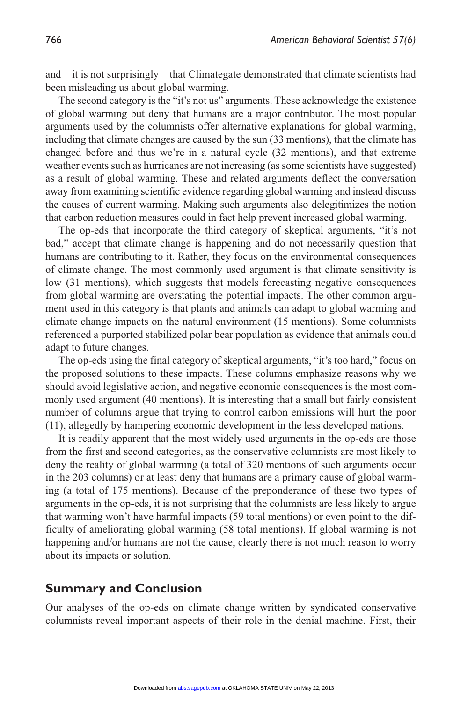and—it is not surprisingly—that Climategate demonstrated that climate scientists had been misleading us about global warming.

The second category is the "it's not us" arguments. These acknowledge the existence of global warming but deny that humans are a major contributor. The most popular arguments used by the columnists offer alternative explanations for global warming, including that climate changes are caused by the sun (33 mentions), that the climate has changed before and thus we're in a natural cycle (32 mentions), and that extreme weather events such as hurricanes are not increasing (as some scientists have suggested) as a result of global warming. These and related arguments deflect the conversation away from examining scientific evidence regarding global warming and instead discuss the causes of current warming. Making such arguments also delegitimizes the notion that carbon reduction measures could in fact help prevent increased global warming.

The op-eds that incorporate the third category of skeptical arguments, "it's not bad," accept that climate change is happening and do not necessarily question that humans are contributing to it. Rather, they focus on the environmental consequences of climate change. The most commonly used argument is that climate sensitivity is low (31 mentions), which suggests that models forecasting negative consequences from global warming are overstating the potential impacts. The other common argument used in this category is that plants and animals can adapt to global warming and climate change impacts on the natural environment (15 mentions). Some columnists referenced a purported stabilized polar bear population as evidence that animals could adapt to future changes.

The op-eds using the final category of skeptical arguments, "it's too hard," focus on the proposed solutions to these impacts. These columns emphasize reasons why we should avoid legislative action, and negative economic consequences is the most commonly used argument (40 mentions). It is interesting that a small but fairly consistent number of columns argue that trying to control carbon emissions will hurt the poor (11), allegedly by hampering economic development in the less developed nations.

It is readily apparent that the most widely used arguments in the op-eds are those from the first and second categories, as the conservative columnists are most likely to deny the reality of global warming (a total of 320 mentions of such arguments occur in the 203 columns) or at least deny that humans are a primary cause of global warming (a total of 175 mentions). Because of the preponderance of these two types of arguments in the op-eds, it is not surprising that the columnists are less likely to argue that warming won't have harmful impacts (59 total mentions) or even point to the difficulty of ameliorating global warming (58 total mentions). If global warming is not happening and/or humans are not the cause, clearly there is not much reason to worry about its impacts or solution.

## **Summary and Conclusion**

Our analyses of the op-eds on climate change written by syndicated conservative columnists reveal important aspects of their role in the denial machine. First, their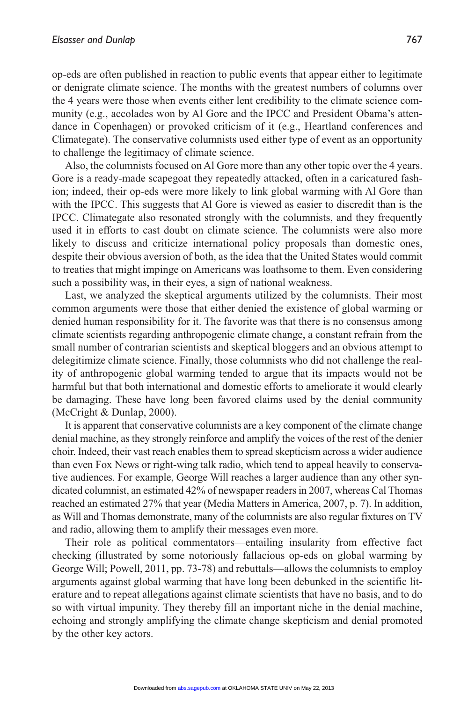op-eds are often published in reaction to public events that appear either to legitimate or denigrate climate science. The months with the greatest numbers of columns over the 4 years were those when events either lent credibility to the climate science community (e.g., accolades won by Al Gore and the IPCC and President Obama's attendance in Copenhagen) or provoked criticism of it (e.g., Heartland conferences and Climategate). The conservative columnists used either type of event as an opportunity to challenge the legitimacy of climate science.

Also, the columnists focused on Al Gore more than any other topic over the 4 years. Gore is a ready-made scapegoat they repeatedly attacked, often in a caricatured fashion; indeed, their op-eds were more likely to link global warming with Al Gore than with the IPCC. This suggests that Al Gore is viewed as easier to discredit than is the IPCC. Climategate also resonated strongly with the columnists, and they frequently used it in efforts to cast doubt on climate science. The columnists were also more likely to discuss and criticize international policy proposals than domestic ones, despite their obvious aversion of both, as the idea that the United States would commit to treaties that might impinge on Americans was loathsome to them. Even considering such a possibility was, in their eyes, a sign of national weakness.

Last, we analyzed the skeptical arguments utilized by the columnists. Their most common arguments were those that either denied the existence of global warming or denied human responsibility for it. The favorite was that there is no consensus among climate scientists regarding anthropogenic climate change, a constant refrain from the small number of contrarian scientists and skeptical bloggers and an obvious attempt to delegitimize climate science. Finally, those columnists who did not challenge the reality of anthropogenic global warming tended to argue that its impacts would not be harmful but that both international and domestic efforts to ameliorate it would clearly be damaging. These have long been favored claims used by the denial community (McCright & Dunlap, 2000).

It is apparent that conservative columnists are a key component of the climate change denial machine, as they strongly reinforce and amplify the voices of the rest of the denier choir. Indeed, their vast reach enables them to spread skepticism across a wider audience than even Fox News or right-wing talk radio, which tend to appeal heavily to conservative audiences. For example, George Will reaches a larger audience than any other syndicated columnist, an estimated 42% of newspaper readers in 2007, whereas Cal Thomas reached an estimated 27% that year (Media Matters in America, 2007, p. 7). In addition, as Will and Thomas demonstrate, many of the columnists are also regular fixtures on TV and radio, allowing them to amplify their messages even more.

Their role as political commentators—entailing insularity from effective fact checking (illustrated by some notoriously fallacious op-eds on global warming by George Will; Powell, 2011, pp. 73-78) and rebuttals—allows the columnists to employ arguments against global warming that have long been debunked in the scientific literature and to repeat allegations against climate scientists that have no basis, and to do so with virtual impunity. They thereby fill an important niche in the denial machine, echoing and strongly amplifying the climate change skepticism and denial promoted by the other key actors.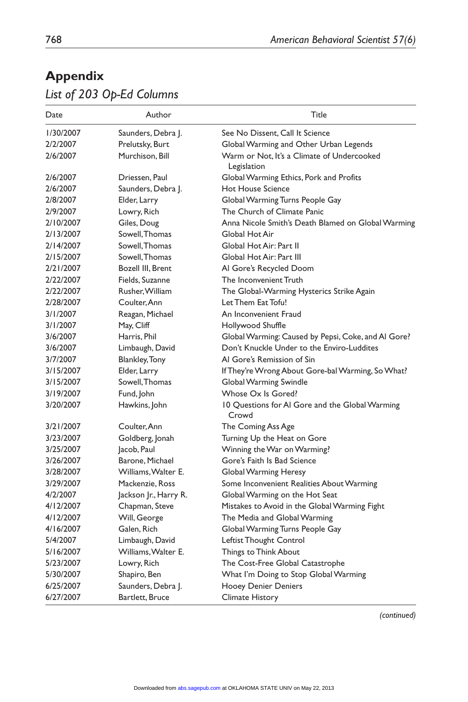# **Appendix**

# *List of 203 Op-Ed Columns*

| 1/30/2007<br>Saunders, Debra J.<br>See No Dissent, Call It Science<br>Global Warming and Other Urban Legends<br>2/2/2007<br>Prelutsky, Burt<br>Warm or Not, It's a Climate of Undercooked<br>Murchison, Bill<br>2/6/2007<br>Legislation<br>2/6/2007<br>Driessen, Paul<br>Global Warming Ethics, Pork and Profits<br>2/6/2007<br>Saunders, Debra J.<br><b>Hot House Science</b><br>2/8/2007<br>Global Warming Turns People Gay<br>Elder, Larry<br>Lowry, Rich<br>The Church of Climate Panic<br>2/9/2007<br>Anna Nicole Smith's Death Blamed on Global Warming<br>2/10/2007<br>Giles, Doug<br>Sowell, Thomas<br>2/13/2007<br>Global Hot Air<br>2/14/2007<br>Sowell. Thomas<br>Global Hot Air: Part II<br>2/15/2007<br>Sowell. Thomas<br>Global Hot Air: Part III<br>Bozell III, Brent<br>Al Gore's Recycled Doom<br>2/21/2007<br>2/22/2007<br>Fields, Suzanne<br>The Inconvenient Truth<br>Rusher, William<br>The Global-Warming Hysterics Strike Again<br>2/22/2007<br>Coulter, Ann<br>2/28/2007<br>Let Them Eat Tofu!<br>Reagan, Michael<br>An Inconvenient Fraud<br>3/1/2007<br>3/1/2007<br>May, Cliff<br>Hollywood Shuffle<br>Global Warming: Caused by Pepsi, Coke, and Al Gore?<br>3/6/2007<br>Harris, Phil<br>Don't Knuckle Under to the Enviro-Luddites<br>3/6/2007<br>Limbaugh, David<br>Al Gore's Remission of Sin<br>3/7/2007<br>Blankley, Tony<br>Elder, Larry<br>If They're Wrong About Gore-bal Warming, So What?<br>3/15/2007<br>Sowell, Thomas<br>3/15/2007<br>Global Warming Swindle<br>3/19/2007<br>Fund, John<br>Whose Ox Is Gored?<br>3/20/2007<br>Hawkins, John<br>10 Questions for Al Gore and the Global Warming<br>Crowd<br>3/21/2007<br>Coulter. Ann<br>The Coming Ass Age<br>3/23/2007<br>Goldberg, Jonah<br>Turning Up the Heat on Gore<br>3/25/2007<br>Jacob, Paul<br>Winning the War on Warming?<br>3/26/2007<br>Barone, Michael<br>Gore's Faith Is Bad Science<br>3/28/2007<br>Williams, Walter E.<br>Global Warming Heresy<br>3/29/2007<br>Mackenzie, Ross<br>Some Inconvenient Realities About Warming<br>4/2/2007<br>Jackson Jr., Harry R.<br>Global Warming on the Hot Seat<br>4/12/2007<br>Chapman, Steve<br>Mistakes to Avoid in the Global Warming Fight<br>4/12/2007<br>Will, George<br>The Media and Global Warming<br>Galen, Rich<br>Global Warming Turns People Gay<br>5/4/2007<br>Limbaugh, David<br>Leftist Thought Control<br>Williams, Walter E.<br>5/16/2007<br>Things to Think About<br>5/23/2007<br>Lowry, Rich<br>The Cost-Free Global Catastrophe<br>5/30/2007<br>Shapiro, Ben<br>What I'm Doing to Stop Global Warming<br>6/25/2007<br>Saunders, Debra J.<br><b>Hooey Denier Deniers</b> | Date      | Author          | Title                  |
|--------------------------------------------------------------------------------------------------------------------------------------------------------------------------------------------------------------------------------------------------------------------------------------------------------------------------------------------------------------------------------------------------------------------------------------------------------------------------------------------------------------------------------------------------------------------------------------------------------------------------------------------------------------------------------------------------------------------------------------------------------------------------------------------------------------------------------------------------------------------------------------------------------------------------------------------------------------------------------------------------------------------------------------------------------------------------------------------------------------------------------------------------------------------------------------------------------------------------------------------------------------------------------------------------------------------------------------------------------------------------------------------------------------------------------------------------------------------------------------------------------------------------------------------------------------------------------------------------------------------------------------------------------------------------------------------------------------------------------------------------------------------------------------------------------------------------------------------------------------------------------------------------------------------------------------------------------------------------------------------------------------------------------------------------------------------------------------------------------------------------------------------------------------------------------------------------------------------------------------------------------------------------------------------------------------------------------------------------------------------------------------------------------------------------------------------------------------------------------------------------------------------------------------------------------------------------------------------------------------------------------------------|-----------|-----------------|------------------------|
|                                                                                                                                                                                                                                                                                                                                                                                                                                                                                                                                                                                                                                                                                                                                                                                                                                                                                                                                                                                                                                                                                                                                                                                                                                                                                                                                                                                                                                                                                                                                                                                                                                                                                                                                                                                                                                                                                                                                                                                                                                                                                                                                                                                                                                                                                                                                                                                                                                                                                                                                                                                                                                            |           |                 |                        |
|                                                                                                                                                                                                                                                                                                                                                                                                                                                                                                                                                                                                                                                                                                                                                                                                                                                                                                                                                                                                                                                                                                                                                                                                                                                                                                                                                                                                                                                                                                                                                                                                                                                                                                                                                                                                                                                                                                                                                                                                                                                                                                                                                                                                                                                                                                                                                                                                                                                                                                                                                                                                                                            |           |                 |                        |
|                                                                                                                                                                                                                                                                                                                                                                                                                                                                                                                                                                                                                                                                                                                                                                                                                                                                                                                                                                                                                                                                                                                                                                                                                                                                                                                                                                                                                                                                                                                                                                                                                                                                                                                                                                                                                                                                                                                                                                                                                                                                                                                                                                                                                                                                                                                                                                                                                                                                                                                                                                                                                                            |           |                 |                        |
|                                                                                                                                                                                                                                                                                                                                                                                                                                                                                                                                                                                                                                                                                                                                                                                                                                                                                                                                                                                                                                                                                                                                                                                                                                                                                                                                                                                                                                                                                                                                                                                                                                                                                                                                                                                                                                                                                                                                                                                                                                                                                                                                                                                                                                                                                                                                                                                                                                                                                                                                                                                                                                            |           |                 |                        |
|                                                                                                                                                                                                                                                                                                                                                                                                                                                                                                                                                                                                                                                                                                                                                                                                                                                                                                                                                                                                                                                                                                                                                                                                                                                                                                                                                                                                                                                                                                                                                                                                                                                                                                                                                                                                                                                                                                                                                                                                                                                                                                                                                                                                                                                                                                                                                                                                                                                                                                                                                                                                                                            |           |                 |                        |
|                                                                                                                                                                                                                                                                                                                                                                                                                                                                                                                                                                                                                                                                                                                                                                                                                                                                                                                                                                                                                                                                                                                                                                                                                                                                                                                                                                                                                                                                                                                                                                                                                                                                                                                                                                                                                                                                                                                                                                                                                                                                                                                                                                                                                                                                                                                                                                                                                                                                                                                                                                                                                                            |           |                 |                        |
|                                                                                                                                                                                                                                                                                                                                                                                                                                                                                                                                                                                                                                                                                                                                                                                                                                                                                                                                                                                                                                                                                                                                                                                                                                                                                                                                                                                                                                                                                                                                                                                                                                                                                                                                                                                                                                                                                                                                                                                                                                                                                                                                                                                                                                                                                                                                                                                                                                                                                                                                                                                                                                            |           |                 |                        |
|                                                                                                                                                                                                                                                                                                                                                                                                                                                                                                                                                                                                                                                                                                                                                                                                                                                                                                                                                                                                                                                                                                                                                                                                                                                                                                                                                                                                                                                                                                                                                                                                                                                                                                                                                                                                                                                                                                                                                                                                                                                                                                                                                                                                                                                                                                                                                                                                                                                                                                                                                                                                                                            |           |                 |                        |
|                                                                                                                                                                                                                                                                                                                                                                                                                                                                                                                                                                                                                                                                                                                                                                                                                                                                                                                                                                                                                                                                                                                                                                                                                                                                                                                                                                                                                                                                                                                                                                                                                                                                                                                                                                                                                                                                                                                                                                                                                                                                                                                                                                                                                                                                                                                                                                                                                                                                                                                                                                                                                                            |           |                 |                        |
|                                                                                                                                                                                                                                                                                                                                                                                                                                                                                                                                                                                                                                                                                                                                                                                                                                                                                                                                                                                                                                                                                                                                                                                                                                                                                                                                                                                                                                                                                                                                                                                                                                                                                                                                                                                                                                                                                                                                                                                                                                                                                                                                                                                                                                                                                                                                                                                                                                                                                                                                                                                                                                            |           |                 |                        |
|                                                                                                                                                                                                                                                                                                                                                                                                                                                                                                                                                                                                                                                                                                                                                                                                                                                                                                                                                                                                                                                                                                                                                                                                                                                                                                                                                                                                                                                                                                                                                                                                                                                                                                                                                                                                                                                                                                                                                                                                                                                                                                                                                                                                                                                                                                                                                                                                                                                                                                                                                                                                                                            |           |                 |                        |
|                                                                                                                                                                                                                                                                                                                                                                                                                                                                                                                                                                                                                                                                                                                                                                                                                                                                                                                                                                                                                                                                                                                                                                                                                                                                                                                                                                                                                                                                                                                                                                                                                                                                                                                                                                                                                                                                                                                                                                                                                                                                                                                                                                                                                                                                                                                                                                                                                                                                                                                                                                                                                                            |           |                 |                        |
|                                                                                                                                                                                                                                                                                                                                                                                                                                                                                                                                                                                                                                                                                                                                                                                                                                                                                                                                                                                                                                                                                                                                                                                                                                                                                                                                                                                                                                                                                                                                                                                                                                                                                                                                                                                                                                                                                                                                                                                                                                                                                                                                                                                                                                                                                                                                                                                                                                                                                                                                                                                                                                            |           |                 |                        |
|                                                                                                                                                                                                                                                                                                                                                                                                                                                                                                                                                                                                                                                                                                                                                                                                                                                                                                                                                                                                                                                                                                                                                                                                                                                                                                                                                                                                                                                                                                                                                                                                                                                                                                                                                                                                                                                                                                                                                                                                                                                                                                                                                                                                                                                                                                                                                                                                                                                                                                                                                                                                                                            |           |                 |                        |
|                                                                                                                                                                                                                                                                                                                                                                                                                                                                                                                                                                                                                                                                                                                                                                                                                                                                                                                                                                                                                                                                                                                                                                                                                                                                                                                                                                                                                                                                                                                                                                                                                                                                                                                                                                                                                                                                                                                                                                                                                                                                                                                                                                                                                                                                                                                                                                                                                                                                                                                                                                                                                                            |           |                 |                        |
|                                                                                                                                                                                                                                                                                                                                                                                                                                                                                                                                                                                                                                                                                                                                                                                                                                                                                                                                                                                                                                                                                                                                                                                                                                                                                                                                                                                                                                                                                                                                                                                                                                                                                                                                                                                                                                                                                                                                                                                                                                                                                                                                                                                                                                                                                                                                                                                                                                                                                                                                                                                                                                            |           |                 |                        |
|                                                                                                                                                                                                                                                                                                                                                                                                                                                                                                                                                                                                                                                                                                                                                                                                                                                                                                                                                                                                                                                                                                                                                                                                                                                                                                                                                                                                                                                                                                                                                                                                                                                                                                                                                                                                                                                                                                                                                                                                                                                                                                                                                                                                                                                                                                                                                                                                                                                                                                                                                                                                                                            |           |                 |                        |
|                                                                                                                                                                                                                                                                                                                                                                                                                                                                                                                                                                                                                                                                                                                                                                                                                                                                                                                                                                                                                                                                                                                                                                                                                                                                                                                                                                                                                                                                                                                                                                                                                                                                                                                                                                                                                                                                                                                                                                                                                                                                                                                                                                                                                                                                                                                                                                                                                                                                                                                                                                                                                                            |           |                 |                        |
|                                                                                                                                                                                                                                                                                                                                                                                                                                                                                                                                                                                                                                                                                                                                                                                                                                                                                                                                                                                                                                                                                                                                                                                                                                                                                                                                                                                                                                                                                                                                                                                                                                                                                                                                                                                                                                                                                                                                                                                                                                                                                                                                                                                                                                                                                                                                                                                                                                                                                                                                                                                                                                            |           |                 |                        |
|                                                                                                                                                                                                                                                                                                                                                                                                                                                                                                                                                                                                                                                                                                                                                                                                                                                                                                                                                                                                                                                                                                                                                                                                                                                                                                                                                                                                                                                                                                                                                                                                                                                                                                                                                                                                                                                                                                                                                                                                                                                                                                                                                                                                                                                                                                                                                                                                                                                                                                                                                                                                                                            |           |                 |                        |
|                                                                                                                                                                                                                                                                                                                                                                                                                                                                                                                                                                                                                                                                                                                                                                                                                                                                                                                                                                                                                                                                                                                                                                                                                                                                                                                                                                                                                                                                                                                                                                                                                                                                                                                                                                                                                                                                                                                                                                                                                                                                                                                                                                                                                                                                                                                                                                                                                                                                                                                                                                                                                                            |           |                 |                        |
|                                                                                                                                                                                                                                                                                                                                                                                                                                                                                                                                                                                                                                                                                                                                                                                                                                                                                                                                                                                                                                                                                                                                                                                                                                                                                                                                                                                                                                                                                                                                                                                                                                                                                                                                                                                                                                                                                                                                                                                                                                                                                                                                                                                                                                                                                                                                                                                                                                                                                                                                                                                                                                            |           |                 |                        |
|                                                                                                                                                                                                                                                                                                                                                                                                                                                                                                                                                                                                                                                                                                                                                                                                                                                                                                                                                                                                                                                                                                                                                                                                                                                                                                                                                                                                                                                                                                                                                                                                                                                                                                                                                                                                                                                                                                                                                                                                                                                                                                                                                                                                                                                                                                                                                                                                                                                                                                                                                                                                                                            |           |                 |                        |
|                                                                                                                                                                                                                                                                                                                                                                                                                                                                                                                                                                                                                                                                                                                                                                                                                                                                                                                                                                                                                                                                                                                                                                                                                                                                                                                                                                                                                                                                                                                                                                                                                                                                                                                                                                                                                                                                                                                                                                                                                                                                                                                                                                                                                                                                                                                                                                                                                                                                                                                                                                                                                                            |           |                 |                        |
|                                                                                                                                                                                                                                                                                                                                                                                                                                                                                                                                                                                                                                                                                                                                                                                                                                                                                                                                                                                                                                                                                                                                                                                                                                                                                                                                                                                                                                                                                                                                                                                                                                                                                                                                                                                                                                                                                                                                                                                                                                                                                                                                                                                                                                                                                                                                                                                                                                                                                                                                                                                                                                            |           |                 |                        |
|                                                                                                                                                                                                                                                                                                                                                                                                                                                                                                                                                                                                                                                                                                                                                                                                                                                                                                                                                                                                                                                                                                                                                                                                                                                                                                                                                                                                                                                                                                                                                                                                                                                                                                                                                                                                                                                                                                                                                                                                                                                                                                                                                                                                                                                                                                                                                                                                                                                                                                                                                                                                                                            |           |                 |                        |
|                                                                                                                                                                                                                                                                                                                                                                                                                                                                                                                                                                                                                                                                                                                                                                                                                                                                                                                                                                                                                                                                                                                                                                                                                                                                                                                                                                                                                                                                                                                                                                                                                                                                                                                                                                                                                                                                                                                                                                                                                                                                                                                                                                                                                                                                                                                                                                                                                                                                                                                                                                                                                                            |           |                 |                        |
|                                                                                                                                                                                                                                                                                                                                                                                                                                                                                                                                                                                                                                                                                                                                                                                                                                                                                                                                                                                                                                                                                                                                                                                                                                                                                                                                                                                                                                                                                                                                                                                                                                                                                                                                                                                                                                                                                                                                                                                                                                                                                                                                                                                                                                                                                                                                                                                                                                                                                                                                                                                                                                            |           |                 |                        |
|                                                                                                                                                                                                                                                                                                                                                                                                                                                                                                                                                                                                                                                                                                                                                                                                                                                                                                                                                                                                                                                                                                                                                                                                                                                                                                                                                                                                                                                                                                                                                                                                                                                                                                                                                                                                                                                                                                                                                                                                                                                                                                                                                                                                                                                                                                                                                                                                                                                                                                                                                                                                                                            |           |                 |                        |
|                                                                                                                                                                                                                                                                                                                                                                                                                                                                                                                                                                                                                                                                                                                                                                                                                                                                                                                                                                                                                                                                                                                                                                                                                                                                                                                                                                                                                                                                                                                                                                                                                                                                                                                                                                                                                                                                                                                                                                                                                                                                                                                                                                                                                                                                                                                                                                                                                                                                                                                                                                                                                                            |           |                 |                        |
|                                                                                                                                                                                                                                                                                                                                                                                                                                                                                                                                                                                                                                                                                                                                                                                                                                                                                                                                                                                                                                                                                                                                                                                                                                                                                                                                                                                                                                                                                                                                                                                                                                                                                                                                                                                                                                                                                                                                                                                                                                                                                                                                                                                                                                                                                                                                                                                                                                                                                                                                                                                                                                            |           |                 |                        |
|                                                                                                                                                                                                                                                                                                                                                                                                                                                                                                                                                                                                                                                                                                                                                                                                                                                                                                                                                                                                                                                                                                                                                                                                                                                                                                                                                                                                                                                                                                                                                                                                                                                                                                                                                                                                                                                                                                                                                                                                                                                                                                                                                                                                                                                                                                                                                                                                                                                                                                                                                                                                                                            |           |                 |                        |
|                                                                                                                                                                                                                                                                                                                                                                                                                                                                                                                                                                                                                                                                                                                                                                                                                                                                                                                                                                                                                                                                                                                                                                                                                                                                                                                                                                                                                                                                                                                                                                                                                                                                                                                                                                                                                                                                                                                                                                                                                                                                                                                                                                                                                                                                                                                                                                                                                                                                                                                                                                                                                                            |           |                 |                        |
|                                                                                                                                                                                                                                                                                                                                                                                                                                                                                                                                                                                                                                                                                                                                                                                                                                                                                                                                                                                                                                                                                                                                                                                                                                                                                                                                                                                                                                                                                                                                                                                                                                                                                                                                                                                                                                                                                                                                                                                                                                                                                                                                                                                                                                                                                                                                                                                                                                                                                                                                                                                                                                            | 4/16/2007 |                 |                        |
|                                                                                                                                                                                                                                                                                                                                                                                                                                                                                                                                                                                                                                                                                                                                                                                                                                                                                                                                                                                                                                                                                                                                                                                                                                                                                                                                                                                                                                                                                                                                                                                                                                                                                                                                                                                                                                                                                                                                                                                                                                                                                                                                                                                                                                                                                                                                                                                                                                                                                                                                                                                                                                            |           |                 |                        |
|                                                                                                                                                                                                                                                                                                                                                                                                                                                                                                                                                                                                                                                                                                                                                                                                                                                                                                                                                                                                                                                                                                                                                                                                                                                                                                                                                                                                                                                                                                                                                                                                                                                                                                                                                                                                                                                                                                                                                                                                                                                                                                                                                                                                                                                                                                                                                                                                                                                                                                                                                                                                                                            |           |                 |                        |
|                                                                                                                                                                                                                                                                                                                                                                                                                                                                                                                                                                                                                                                                                                                                                                                                                                                                                                                                                                                                                                                                                                                                                                                                                                                                                                                                                                                                                                                                                                                                                                                                                                                                                                                                                                                                                                                                                                                                                                                                                                                                                                                                                                                                                                                                                                                                                                                                                                                                                                                                                                                                                                            |           |                 |                        |
|                                                                                                                                                                                                                                                                                                                                                                                                                                                                                                                                                                                                                                                                                                                                                                                                                                                                                                                                                                                                                                                                                                                                                                                                                                                                                                                                                                                                                                                                                                                                                                                                                                                                                                                                                                                                                                                                                                                                                                                                                                                                                                                                                                                                                                                                                                                                                                                                                                                                                                                                                                                                                                            |           |                 |                        |
|                                                                                                                                                                                                                                                                                                                                                                                                                                                                                                                                                                                                                                                                                                                                                                                                                                                                                                                                                                                                                                                                                                                                                                                                                                                                                                                                                                                                                                                                                                                                                                                                                                                                                                                                                                                                                                                                                                                                                                                                                                                                                                                                                                                                                                                                                                                                                                                                                                                                                                                                                                                                                                            |           |                 |                        |
|                                                                                                                                                                                                                                                                                                                                                                                                                                                                                                                                                                                                                                                                                                                                                                                                                                                                                                                                                                                                                                                                                                                                                                                                                                                                                                                                                                                                                                                                                                                                                                                                                                                                                                                                                                                                                                                                                                                                                                                                                                                                                                                                                                                                                                                                                                                                                                                                                                                                                                                                                                                                                                            | 6/27/2007 | Bartlett, Bruce | <b>Climate History</b> |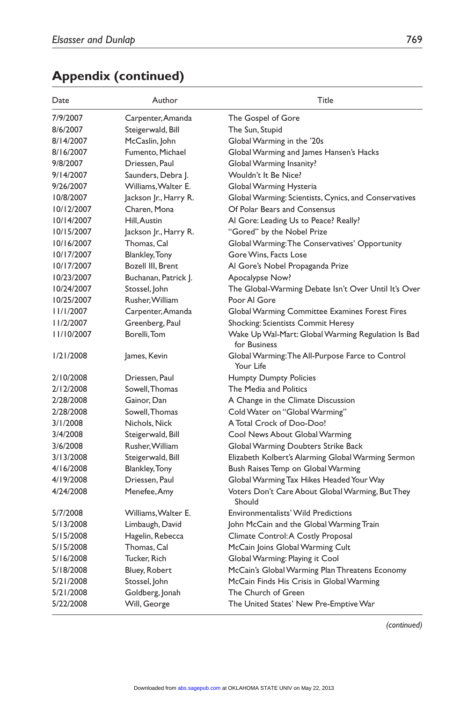| Date       | Author                | Title                                                              |
|------------|-----------------------|--------------------------------------------------------------------|
| 7/9/2007   | Carpenter, Amanda     | The Gospel of Gore                                                 |
| 8/6/2007   | Steigerwald, Bill     | The Sun, Stupid                                                    |
| 8/14/2007  | McCaslin, John        | Global Warming in the '20s                                         |
| 8/16/2007  | Fumento, Michael      | Global Warming and James Hansen's Hacks                            |
| 9/8/2007   | Driessen, Paul        | Global Warming Insanity?                                           |
| 9/14/2007  | Saunders, Debra J.    | Wouldn't It Be Nice?                                               |
| 9/26/2007  | Williams, Walter E.   | Global Warming Hysteria                                            |
| 10/8/2007  | Jackson Jr., Harry R. | Global Warming: Scientists, Cynics, and Conservatives              |
| 10/12/2007 | Charen, Mona          | Of Polar Bears and Consensus                                       |
| 10/14/2007 | Hill, Austin          | Al Gore: Leading Us to Peace? Really?                              |
| 10/15/2007 | Jackson Jr., Harry R. | "Gored" by the Nobel Prize                                         |
| 10/16/2007 | Thomas, Cal           | Global Warming: The Conservatives' Opportunity                     |
| 10/17/2007 | <b>Blankley, Tony</b> | Gore Wins, Facts Lose                                              |
| 10/17/2007 | Bozell III. Brent     | Al Gore's Nobel Propaganda Prize                                   |
| 10/23/2007 | Buchanan, Patrick J.  | Apocalypse Now?                                                    |
| 10/24/2007 | Stossel, John         | The Global-Warming Debate Isn't Over Until It's Over               |
| 10/25/2007 | Rusher, William       | Poor Al Gore                                                       |
| 11/1/2007  | Carpenter, Amanda     | Global Warming Committee Examines Forest Fires                     |
| 11/2/2007  | Greenberg, Paul       | Shocking: Scientists Commit Heresy                                 |
| 11/10/2007 | Borelli, Tom          | Wake Up Wal-Mart: Global Warming Regulation Is Bad<br>for Business |
| 1/21/2008  | James, Kevin          | Global Warming: The All-Purpose Farce to Control<br>Your Life      |
| 2/10/2008  | Driessen, Paul        | <b>Humpty Dumpty Policies</b>                                      |
| 2/12/2008  | Sowell, Thomas        | The Media and Politics                                             |
| 2/28/2008  | Gainor, Dan           | A Change in the Climate Discussion                                 |
| 2/28/2008  | Sowell, Thomas        | Cold Water on "Global Warming"                                     |
| 3/1/2008   | Nichols, Nick         | A Total Crock of Doo-Doo!                                          |
| 3/4/2008   | Steigerwald, Bill     | Cool News About Global Warming                                     |
| 3/6/2008   | Rusher, William       | Global Warming Doubters Strike Back                                |
| 3/13/2008  | Steigerwald, Bill     | Elizabeth Kolbert's Alarming Global Warming Sermon                 |
| 4/16/2008  | Blankley, Tony        | Bush Raises Temp on Global Warming                                 |
| 4/19/2008  | Driessen, Paul        | Global Warming Tax Hikes Headed Your Way                           |
| 4/24/2008  | Menefee, Amy          | Voters Don't Care About Global Warming, But They<br>Should         |
| 5/7/2008   | Williams, Walter E.   | <b>Environmentalists' Wild Predictions</b>                         |
| 5/13/2008  | Limbaugh, David       | John McCain and the Global Warming Train                           |
| 5/15/2008  | Hagelin, Rebecca      | Climate Control: A Costly Proposal                                 |
| 5/15/2008  | Thomas, Cal           | McCain Joins Global Warming Cult                                   |
| 5/16/2008  | Tucker, Rich          | Global Warming: Playing it Cool                                    |
| 5/18/2008  | Bluey, Robert         | McCain's Global Warming Plan Threatens Economy                     |
| 5/21/2008  | Stossel, John         | McCain Finds His Crisis in Global Warming                          |
| 5/21/2008  | Goldberg, Jonah       | The Church of Green                                                |
| 5/22/2008  | Will, George          | The United States' New Pre-Emptive War                             |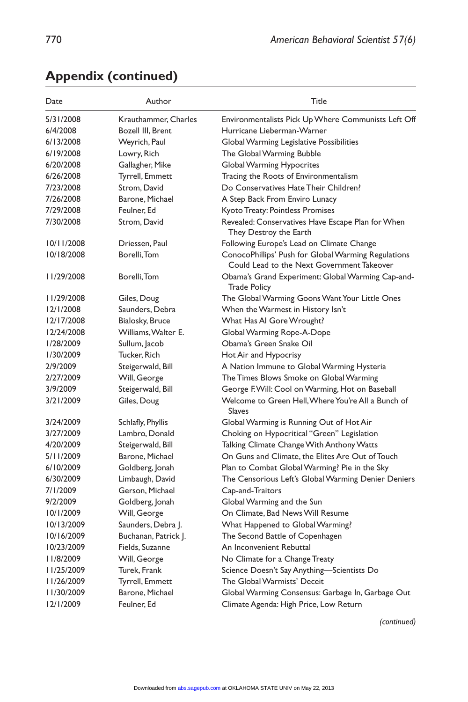| Date       | Author               | Title                                                                                             |
|------------|----------------------|---------------------------------------------------------------------------------------------------|
| 5/31/2008  | Krauthammer, Charles | Environmentalists Pick Up Where Communists Left Off                                               |
| 6/4/2008   | Bozell III, Brent    | Hurricane Lieberman-Warner                                                                        |
| 6/13/2008  | Weyrich, Paul        | Global Warming Legislative Possibilities                                                          |
| 6/19/2008  | Lowry, Rich          | The Global Warming Bubble                                                                         |
| 6/20/2008  | Gallagher, Mike      | <b>Global Warming Hypocrites</b>                                                                  |
| 6/26/2008  | Tyrrell, Emmett      | Tracing the Roots of Environmentalism                                                             |
| 7/23/2008  | Strom, David         | Do Conservatives Hate Their Children?                                                             |
| 7/26/2008  | Barone, Michael      | A Step Back From Enviro Lunacy                                                                    |
| 7/29/2008  | Feulner, Ed          | Kyoto Treaty: Pointless Promises                                                                  |
| 7/30/2008  | Strom, David         | Revealed: Conservatives Have Escape Plan for When<br>They Destroy the Earth                       |
| 10/11/2008 | Driessen, Paul       | Following Europe's Lead on Climate Change                                                         |
| 10/18/2008 | Borelli, Tom         | ConocoPhillips' Push for Global Warming Regulations<br>Could Lead to the Next Government Takeover |
| 11/29/2008 | Borelli, Tom         | Obama's Grand Experiment: Global Warming Cap-and-<br><b>Trade Policy</b>                          |
| 11/29/2008 | Giles, Doug          | The Global Warming Goons Want Your Little Ones                                                    |
| 12/1/2008  | Saunders, Debra      | When the Warmest in History Isn't                                                                 |
| 12/17/2008 | Bialosky, Bruce      | What Has AI Gore Wrought?                                                                         |
| 12/24/2008 | Williams, Walter E.  | Global Warming Rope-A-Dope                                                                        |
| 1/28/2009  | Sullum, Jacob        | Obama's Green Snake Oil                                                                           |
| 1/30/2009  | Tucker, Rich         | Hot Air and Hypocrisy                                                                             |
| 2/9/2009   | Steigerwald, Bill    | A Nation Immune to Global Warming Hysteria                                                        |
| 2/27/2009  | Will, George         | The Times Blows Smoke on Global Warming                                                           |
| 3/9/2009   | Steigerwald, Bill    | George F. Will: Cool on Warming, Hot on Baseball                                                  |
| 3/21/2009  | Giles, Doug          | Welcome to Green Hell, Where You're All a Bunch of<br>Slaves                                      |
| 3/24/2009  | Schlafly, Phyllis    | Global Warming is Running Out of Hot Air                                                          |
| 3/27/2009  | Lambro, Donald       | Choking on Hypocritical "Green" Legislation                                                       |
| 4/20/2009  | Steigerwald, Bill    | Talking Climate Change With Anthony Watts                                                         |
| 5/11/2009  | Barone, Michael      | On Guns and Climate, the Elites Are Out of Touch                                                  |
| 6/10/2009  | Goldberg, Jonah      | Plan to Combat Global Warming? Pie in the Sky                                                     |
| 6/30/2009  | Limbaugh, David      | The Censorious Left's Global Warming Denier Deniers                                               |
| 7/1/2009   | Gerson, Michael      | Cap-and-Traitors                                                                                  |
| 9/2/2009   | Goldberg, Jonah      | Global Warming and the Sun                                                                        |
| 10/1/2009  | Will, George         | On Climate, Bad News Will Resume                                                                  |
| 10/13/2009 | Saunders, Debra J.   | What Happened to Global Warming?                                                                  |
| 10/16/2009 | Buchanan, Patrick J. | The Second Battle of Copenhagen                                                                   |
| 10/23/2009 | Fields, Suzanne      | An Inconvenient Rebuttal                                                                          |
| II/8/2009  | Will, George         | No Climate for a Change Treaty                                                                    |
| 11/25/2009 | Turek, Frank         | Science Doesn't Say Anything—Scientists Do                                                        |
| II/26/2009 | Tyrrell, Emmett      | The Global Warmists' Deceit                                                                       |
| II/30/2009 | Barone, Michael      | Global Warming Consensus: Garbage In, Garbage Out                                                 |
| 12/1/2009  | Feulner, Ed          | Climate Agenda: High Price, Low Return                                                            |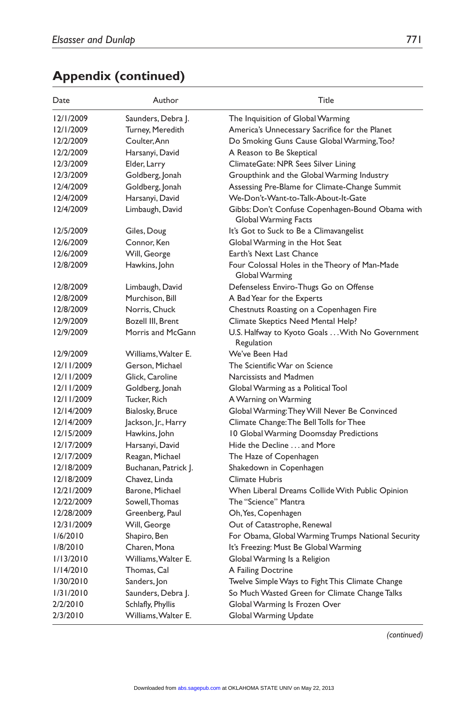| Date       | Author               | Title                                                                    |
|------------|----------------------|--------------------------------------------------------------------------|
| 12/1/2009  | Saunders, Debra J.   | The Inquisition of Global Warming                                        |
| 12/1/2009  | Turney, Meredith     | America's Unnecessary Sacrifice for the Planet                           |
| 12/2/2009  | Coulter, Ann         | Do Smoking Guns Cause Global Warming, Too?                               |
| 12/2/2009  | Harsanyi, David      | A Reason to Be Skeptical                                                 |
| 12/3/2009  | Elder, Larry         | ClimateGate: NPR Sees Silver Lining                                      |
| 12/3/2009  | Goldberg, Jonah      | Groupthink and the Global Warming Industry                               |
| 12/4/2009  | Goldberg, Jonah      | Assessing Pre-Blame for Climate-Change Summit                            |
| 12/4/2009  | Harsanyi, David      | We-Don't-Want-to-Talk-About-It-Gate                                      |
| 12/4/2009  | Limbaugh, David      | Gibbs: Don't Confuse Copenhagen-Bound Obama with<br>Global Warming Facts |
| 12/5/2009  | Giles, Doug          | It's Got to Suck to Be a Climavangelist                                  |
| 12/6/2009  | Connor, Ken          | Global Warming in the Hot Seat                                           |
| 12/6/2009  | Will, George         | Earth's Next Last Chance                                                 |
| 12/8/2009  | Hawkins, John        | Four Colossal Holes in the Theory of Man-Made<br>Global Warming          |
| 12/8/2009  | Limbaugh, David      | Defenseless Enviro-Thugs Go on Offense                                   |
| 12/8/2009  | Murchison, Bill      | A Bad Year for the Experts                                               |
| 12/8/2009  | Norris, Chuck        | Chestnuts Roasting on a Copenhagen Fire                                  |
| 12/9/2009  | Bozell III, Brent    | Climate Skeptics Need Mental Help?                                       |
| 12/9/2009  | Morris and McGann    | U.S. Halfway to Kyoto Goals  With No Government<br>Regulation            |
| 12/9/2009  | Williams, Walter E.  | We've Been Had                                                           |
| 12/11/2009 | Gerson, Michael      | The Scientific War on Science                                            |
| 12/11/2009 | Glick, Caroline      | Narcissists and Madmen                                                   |
| 12/11/2009 | Goldberg, Jonah      | Global Warming as a Political Tool                                       |
| 12/11/2009 | Tucker, Rich         | A Warning on Warming                                                     |
| 12/14/2009 | Bialosky, Bruce      | Global Warming: They Will Never Be Convinced                             |
| 12/14/2009 | Jackson, Jr., Harry  | Climate Change: The Bell Tolls for Thee                                  |
| 12/15/2009 | Hawkins, John        | 10 Global Warming Doomsday Predictions                                   |
| 12/17/2009 | Harsanyi, David      | Hide the Decline  and More                                               |
| 12/17/2009 | Reagan, Michael      | The Haze of Copenhagen                                                   |
| 12/18/2009 | Buchanan, Patrick J. | Shakedown in Copenhagen                                                  |
| 12/18/2009 | Chavez, Linda        | <b>Climate Hubris</b>                                                    |
| 12/21/2009 | Barone, Michael      | When Liberal Dreams Collide With Public Opinion                          |
| 12/22/2009 | Sowell, Thomas       | The "Science" Mantra                                                     |
| 12/28/2009 | Greenberg, Paul      | Oh, Yes, Copenhagen                                                      |
| 12/31/2009 | Will, George         | Out of Catastrophe, Renewal                                              |
| 1/6/2010   | Shapiro, Ben         | For Obama, Global Warming Trumps National Security                       |
| 1/8/2010   | Charen, Mona         | It's Freezing: Must Be Global Warming                                    |
| 1/13/2010  | Williams, Walter E.  | Global Warming Is a Religion                                             |
| 1/14/2010  | Thomas. Cal          | A Failing Doctrine                                                       |
| 1/30/2010  | Sanders, Jon         | Twelve Simple Ways to Fight This Climate Change                          |
| 1/31/2010  | Saunders, Debra J.   | So Much Wasted Green for Climate Change Talks                            |
| 2/2/2010   | Schlafly, Phyllis    | Global Warming Is Frozen Over                                            |
| 2/3/2010   | Williams, Walter E.  | Global Warming Update                                                    |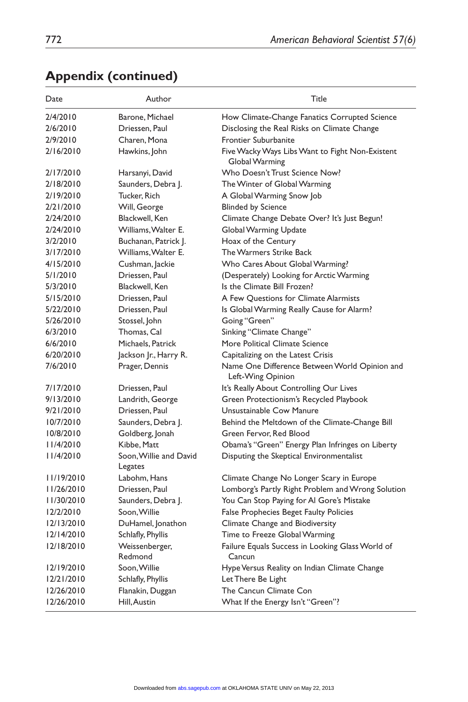| Date       | Author                            | Title                                                              |
|------------|-----------------------------------|--------------------------------------------------------------------|
| 2/4/2010   | Barone, Michael                   | How Climate-Change Fanatics Corrupted Science                      |
| 2/6/2010   | Driessen, Paul                    | Disclosing the Real Risks on Climate Change                        |
| 2/9/2010   | Charen, Mona                      | <b>Frontier Suburbanite</b>                                        |
| 2/16/2010  | Hawkins, John                     | Five Wacky Ways Libs Want to Fight Non-Existent<br>Global Warming  |
| 2/17/2010  | Harsanyi, David                   | Who Doesn't Trust Science Now?                                     |
| 2/18/2010  | Saunders, Debra J.                | The Winter of Global Warming                                       |
| 2/19/2010  | Tucker, Rich                      | A Global Warming Snow Job                                          |
| 2/21/2010  | Will, George                      | <b>Blinded by Science</b>                                          |
| 2/24/2010  | Blackwell, Ken                    | Climate Change Debate Over? It's Just Begun!                       |
| 2/24/2010  | Williams, Walter E.               | Global Warming Update                                              |
| 3/2/2010   | Buchanan, Patrick J.              | Hoax of the Century                                                |
| 3/17/2010  | Williams, Walter E.               | The Warmers Strike Back                                            |
| 4/15/2010  | Cushman, Jackie                   | Who Cares About Global Warming?                                    |
| 5/1/2010   | Driessen, Paul                    | (Desperately) Looking for Arctic Warming                           |
| 5/3/2010   | Blackwell, Ken                    | Is the Climate Bill Frozen?                                        |
| 5/15/2010  | Driessen, Paul                    | A Few Questions for Climate Alarmists                              |
| 5/22/2010  | Driessen, Paul                    | Is Global Warming Really Cause for Alarm?                          |
| 5/26/2010  | Stossel, John                     | Going "Green"                                                      |
| 6/3/2010   | Thomas, Cal                       | Sinking "Climate Change"                                           |
| 6/6/2010   | Michaels, Patrick                 | More Political Climate Science                                     |
| 6/20/2010  | Jackson Jr., Harry R.             | Capitalizing on the Latest Crisis                                  |
| 7/6/2010   | Prager, Dennis                    | Name One Difference Between World Opinion and<br>Left-Wing Opinion |
| 7/17/2010  | Driessen, Paul                    | It's Really About Controlling Our Lives                            |
| 9/13/2010  | Landrith, George                  | Green Protectionism's Recycled Playbook                            |
| 9/21/2010  | Driessen, Paul                    | Unsustainable Cow Manure                                           |
| 10/7/2010  | Saunders, Debra J.                | Behind the Meltdown of the Climate-Change Bill                     |
| 10/8/2010  | Goldberg, Jonah                   | Green Fervor, Red Blood                                            |
| 11/4/2010  | Kibbe, Matt                       | Obama's "Green" Energy Plan Infringes on Liberty                   |
| 11/4/2010  | Soon, Willie and David<br>Legates | Disputing the Skeptical Environmentalist                           |
| 11/19/2010 | Labohm, Hans                      | Climate Change No Longer Scary in Europe                           |
| 11/26/2010 | Driessen, Paul                    | Lomborg's Partly Right Problem and Wrong Solution                  |
| 11/30/2010 | Saunders, Debra J.                | You Can Stop Paying for AI Gore's Mistake                          |
| 12/2/2010  | Soon, Willie                      | <b>False Prophecies Beget Faulty Policies</b>                      |
| 12/13/2010 | DuHamel, Jonathon                 | Climate Change and Biodiversity                                    |
| 12/14/2010 | Schlafly, Phyllis                 | Time to Freeze Global Warming                                      |
| 12/18/2010 | Weissenberger,                    | Failure Equals Success in Looking Glass World of                   |
|            | Redmond                           | Cancun                                                             |
| 12/19/2010 | Soon, Willie                      | Hype Versus Reality on Indian Climate Change                       |
| 12/21/2010 | Schlafly, Phyllis                 | Let There Be Light                                                 |
| 12/26/2010 | Flanakin, Duggan                  | The Cancun Climate Con                                             |
| 12/26/2010 | Hill, Austin                      | What If the Energy Isn't "Green"?                                  |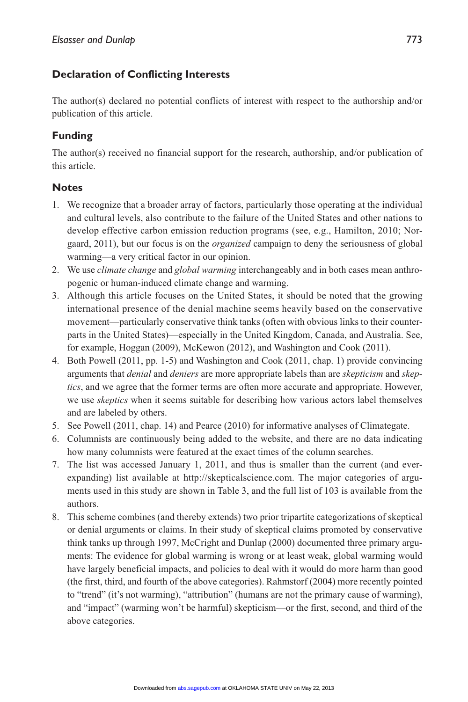## **Declaration of Conflicting Interests**

The author(s) declared no potential conflicts of interest with respect to the authorship and/or publication of this article.

## **Funding**

The author(s) received no financial support for the research, authorship, and/or publication of this article.

## **Notes**

- 1. We recognize that a broader array of factors, particularly those operating at the individual and cultural levels, also contribute to the failure of the United States and other nations to develop effective carbon emission reduction programs (see, e.g., Hamilton, 2010; Norgaard, 2011), but our focus is on the *organized* campaign to deny the seriousness of global warming—a very critical factor in our opinion.
- 2. We use *climate change* and *global warming* interchangeably and in both cases mean anthropogenic or human-induced climate change and warming.
- 3. Although this article focuses on the United States, it should be noted that the growing international presence of the denial machine seems heavily based on the conservative movement—particularly conservative think tanks (often with obvious links to their counterparts in the United States)—especially in the United Kingdom, Canada, and Australia. See, for example, Hoggan (2009), McKewon (2012), and Washington and Cook (2011).
- 4. Both Powell (2011, pp. 1-5) and Washington and Cook (2011, chap. 1) provide convincing arguments that *denial* and *deniers* are more appropriate labels than are *skepticism* and *skeptics*, and we agree that the former terms are often more accurate and appropriate. However, we use *skeptics* when it seems suitable for describing how various actors label themselves and are labeled by others.
- 5. See Powell (2011, chap. 14) and Pearce (2010) for informative analyses of Climategate.
- 6. Columnists are continuously being added to the website, and there are no data indicating how many columnists were featured at the exact times of the column searches.
- 7. The list was accessed January 1, 2011, and thus is smaller than the current (and everexpanding) list available at http://skepticalscience.com. The major categories of arguments used in this study are shown in Table 3, and the full list of 103 is available from the authors.
- 8. This scheme combines (and thereby extends) two prior tripartite categorizations of skeptical or denial arguments or claims. In their study of skeptical claims promoted by conservative think tanks up through 1997, McCright and Dunlap (2000) documented three primary arguments: The evidence for global warming is wrong or at least weak, global warming would have largely beneficial impacts, and policies to deal with it would do more harm than good (the first, third, and fourth of the above categories). Rahmstorf (2004) more recently pointed to "trend" (it's not warming), "attribution" (humans are not the primary cause of warming), and "impact" (warming won't be harmful) skepticism—or the first, second, and third of the above categories.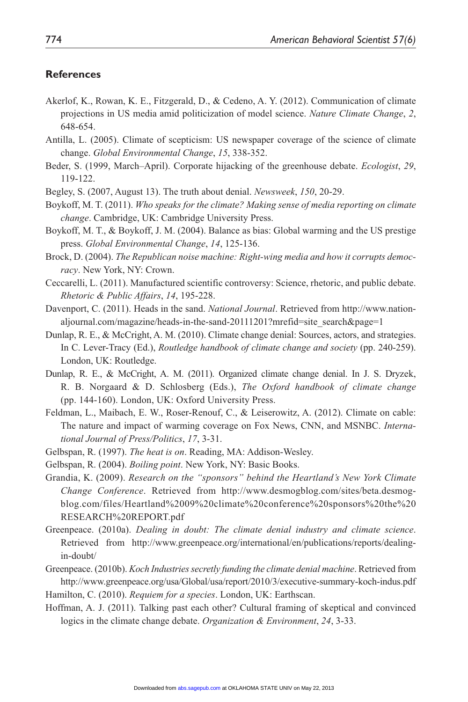#### **References**

- Akerlof, K., Rowan, K. E., Fitzgerald, D., & Cedeno, A. Y. (2012). Communication of climate projections in US media amid politicization of model science. *Nature Climate Change*, *2*, 648-654.
- Antilla, L. (2005). Climate of scepticism: US newspaper coverage of the science of climate change. *Global Environmental Change*, *15*, 338-352.
- Beder, S. (1999, March–April). Corporate hijacking of the greenhouse debate. *Ecologist*, *29*, 119-122.
- Begley, S. (2007, August 13). The truth about denial. *Newsweek*, *150*, 20-29.

Boykoff, M. T. (2011). *Who speaks for the climate? Making sense of media reporting on climate change*. Cambridge, UK: Cambridge University Press.

- Boykoff, M. T., & Boykoff, J. M. (2004). Balance as bias: Global warming and the US prestige press. *Global Environmental Change*, *14*, 125-136.
- Brock, D. (2004). *The Republican noise machine: Right-wing media and how it corrupts democracy*. New York, NY: Crown.
- Ceccarelli, L. (2011). Manufactured scientific controversy: Science, rhetoric, and public debate. *Rhetoric & Public Affairs*, *14*, 195-228.
- Davenport, C. (2011). Heads in the sand. *National Journal*. Retrieved from http://www.nationaljournal.com/magazine/heads-in-the-sand-20111201?mrefid=site\_search&page=1
- Dunlap, R. E., & McCright, A. M. (2010). Climate change denial: Sources, actors, and strategies. In C. Lever-Tracy (Ed.), *Routledge handbook of climate change and society* (pp. 240-259). London, UK: Routledge.
- Dunlap, R. E., & McCright, A. M. (2011). Organized climate change denial. In J. S. Dryzek, R. B. Norgaard & D. Schlosberg (Eds.), *The Oxford handbook of climate change* (pp. 144-160). London, UK: Oxford University Press.
- Feldman, L., Maibach, E. W., Roser-Renouf, C., & Leiserowitz, A. (2012). Climate on cable: The nature and impact of warming coverage on Fox News, CNN, and MSNBC. *International Journal of Press/Politics*, *17*, 3-31.
- Gelbspan, R. (1997). *The heat is on*. Reading, MA: Addison-Wesley.
- Gelbspan, R. (2004). *Boiling point*. New York, NY: Basic Books.
- Grandia, K. (2009). *Research on the "sponsors" behind the Heartland's New York Climate Change Conference*. Retrieved from http://www.desmogblog.com/sites/beta.desmogblog.com/files/Heartland%2009%20climate%20conference%20sponsors%20the%20 RESEARCH%20REPORT.pdf
- Greenpeace. (2010a). *Dealing in doubt: The climate denial industry and climate science*. Retrieved from http://www.greenpeace.org/international/en/publications/reports/dealingin-doubt/
- Greenpeace. (2010b). *Koch Industries secretly funding the climate denial machine*. Retrieved from http://www.greenpeace.org/usa/Global/usa/report/2010/3/executive-summary-koch-indus.pdf Hamilton, C. (2010). *Requiem for a species*. London, UK: Earthscan.
- Hoffman, A. J. (2011). Talking past each other? Cultural framing of skeptical and convinced logics in the climate change debate. *Organization & Environment*, *24*, 3-33.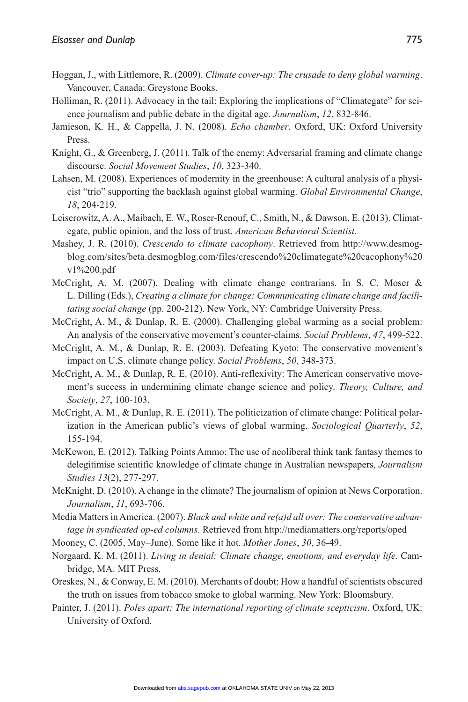- Hoggan, J., with Littlemore, R. (2009). *Climate cover-up: The crusade to deny global warming*. Vancouver, Canada: Greystone Books.
- Holliman, R. (2011). Advocacy in the tail: Exploring the implications of "Climategate" for science journalism and public debate in the digital age. *Journalism*, *12*, 832-846.
- Jamieson, K. H., & Cappella, J. N. (2008). *Echo chamber*. Oxford, UK: Oxford University Press.
- Knight, G., & Greenberg, J. (2011). Talk of the enemy: Adversarial framing and climate change discourse. *Social Movement Studies*, *10*, 323-340.
- Lahsen, M. (2008). Experiences of modernity in the greenhouse: A cultural analysis of a physicist "trio" supporting the backlash against global warming. *Global Environmental Change*, *18*, 204-219.
- Leiserowitz, A. A., Maibach, E. W., Roser-Renouf, C., Smith, N., & Dawson, E. (2013). Climategate, public opinion, and the loss of trust. *American Behavioral Scientist*.
- Mashey, J. R. (2010). *Crescendo to climate cacophony*. Retrieved from http://www.desmogblog.com/sites/beta.desmogblog.com/files/crescendo%20climategate%20cacophony%20 v1%200.pdf
- McCright, A. M. (2007). Dealing with climate change contrarians. In S. C. Moser & L. Dilling (Eds.), *Creating a climate for change: Communicating climate change and facilitating social change* (pp. 200-212). New York, NY: Cambridge University Press.
- McCright, A. M., & Dunlap, R. E. (2000). Challenging global warming as a social problem: An analysis of the conservative movement's counter-claims. *Social Problems*, *47*, 499-522.
- McCright, A. M., & Dunlap, R. E. (2003). Defeating Kyoto: The conservative movement's impact on U.S. climate change policy. *Social Problems*, *50*, 348-373.
- McCright, A. M., & Dunlap, R. E. (2010). Anti-reflexivity: The American conservative movement's success in undermining climate change science and policy. *Theory, Culture, and Society*, *27*, 100-103.
- McCright, A. M., & Dunlap, R. E. (2011). The politicization of climate change: Political polarization in the American public's views of global warming. *Sociological Quarterly*, *52*, 155-194.
- McKewon, E. (2012). Talking Points Ammo: The use of neoliberal think tank fantasy themes to delegitimise scientific knowledge of climate change in Australian newspapers, *Journalism Studies 13*(2), 277-297.
- McKnight, D. (2010). A change in the climate? The journalism of opinion at News Corporation. *Journalism*, *11*, 693-706.
- Media Matters in America. (2007). *Black and white and re(a)d all over: The conservative advantage in syndicated op-ed columns*. Retrieved from http://mediamatters.org/reports/oped
- Mooney, C. (2005, May–June). Some like it hot. *Mother Jones*, *30*, 36-49.
- Norgaard, K. M. (2011). *Living in denial: Climate change, emotions, and everyday life*. Cambridge, MA: MIT Press.
- Oreskes, N., & Conway, E. M. (2010). Merchants of doubt: How a handful of scientists obscured the truth on issues from tobacco smoke to global warming. New York: Bloomsbury.
- Painter, J. (2011). *Poles apart: The international reporting of climate scepticism*. Oxford, UK: University of Oxford.